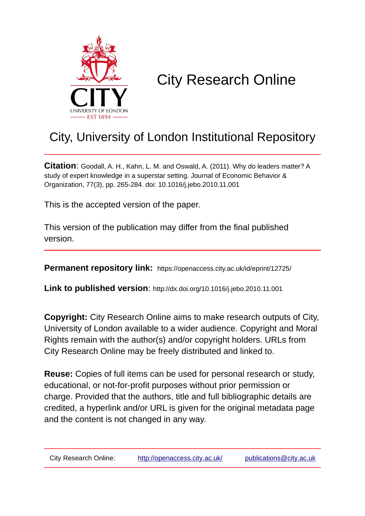

# City Research Online

## City, University of London Institutional Repository

**Citation**: Goodall, A. H., Kahn, L. M. and Oswald, A. (2011). Why do leaders matter? A study of expert knowledge in a superstar setting. Journal of Economic Behavior & Organization, 77(3), pp. 265-284. doi: 10.1016/j.jebo.2010.11.001

This is the accepted version of the paper.

This version of the publication may differ from the final published version.

**Permanent repository link:** https://openaccess.city.ac.uk/id/eprint/12725/

**Link to published version**: http://dx.doi.org/10.1016/j.jebo.2010.11.001

**Copyright:** City Research Online aims to make research outputs of City, University of London available to a wider audience. Copyright and Moral Rights remain with the author(s) and/or copyright holders. URLs from City Research Online may be freely distributed and linked to.

**Reuse:** Copies of full items can be used for personal research or study, educational, or not-for-profit purposes without prior permission or charge. Provided that the authors, title and full bibliographic details are credited, a hyperlink and/or URL is given for the original metadata page and the content is not changed in any way.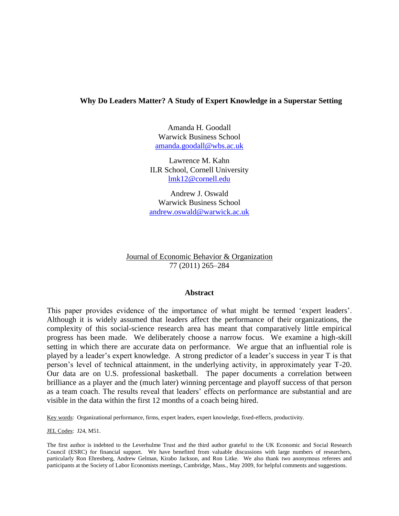#### **Why Do Leaders Matter? A Study of Expert Knowledge in a Superstar Setting**

Amanda H. Goodall Warwick Business School [amanda.goodall@wbs.ac.uk](mailto:amanda.goodall@wbs.ac.uk)

Lawrence M. Kahn ILR School, Cornell University [lmk12@cornell.edu](mailto:lmk12@cornell.edu)

Andrew J. Oswald Warwick Business School [andrew.oswald@warwick.ac.uk](mailto:andrew.oswald@warwick.ac.uk)

Journal of Economic Behavior & Organization 77 (2011) 265–284

#### **Abstract**

This paper provides evidence of the importance of what might be termed "expert leaders". Although it is widely assumed that leaders affect the performance of their organizations, the complexity of this social-science research area has meant that comparatively little empirical progress has been made. We deliberately choose a narrow focus. We examine a high-skill setting in which there are accurate data on performance. We argue that an influential role is played by a leader"s expert knowledge. A strong predictor of a leader"s success in year T is that person"s level of technical attainment, in the underlying activity, in approximately year T-20. Our data are on U.S. professional basketball. The paper documents a correlation between brilliance as a player and the (much later) winning percentage and playoff success of that person as a team coach. The results reveal that leaders" effects on performance are substantial and are visible in the data within the first 12 months of a coach being hired.

Key words: Organizational performance, firms, expert leaders, expert knowledge, fixed-effects, productivity.

JEL Codes: J24, M51.

The first author is indebted to the Leverhulme Trust and the third author grateful to the UK Economic and Social Research Council (ESRC) for financial support. We have benefited from valuable discussions with large numbers of researchers, particularly Ron Ehrenberg, Andrew Gelman, Kirabo Jackson, and Ron Litke. We also thank two anonymous referees and participants at the Society of Labor Economists meetings, Cambridge, Mass., May 2009, for helpful comments and suggestions.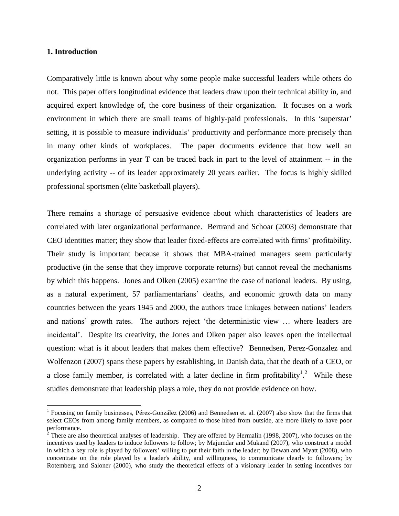#### **1. Introduction**

 $\overline{a}$ 

Comparatively little is known about why some people make successful leaders while others do not. This paper offers longitudinal evidence that leaders draw upon their technical ability in, and acquired expert knowledge of, the core business of their organization. It focuses on a work environment in which there are small teams of highly-paid professionals. In this 'superstar' setting, it is possible to measure individuals' productivity and performance more precisely than in many other kinds of workplaces. The paper documents evidence that how well an organization performs in year T can be traced back in part to the level of attainment -- in the underlying activity -- of its leader approximately 20 years earlier. The focus is highly skilled professional sportsmen (elite basketball players).

There remains a shortage of persuasive evidence about which characteristics of leaders are correlated with later organizational performance. Bertrand and Schoar (2003) demonstrate that CEO identities matter; they show that leader fixed-effects are correlated with firms" profitability. Their study is important because it shows that MBA-trained managers seem particularly productive (in the sense that they improve corporate returns) but cannot reveal the mechanisms by which this happens. Jones and Olken (2005) examine the case of national leaders. By using, as a natural experiment, 57 parliamentarians' deaths, and economic growth data on many countries between the years 1945 and 2000, the authors trace linkages between nations" leaders and nations" growth rates. The authors reject "the deterministic view … where leaders are incidental'. Despite its creativity, the Jones and Olken paper also leaves open the intellectual question: what is it about leaders that makes them effective? Bennedsen, Perez-Gonzalez and Wolfenzon (2007) spans these papers by establishing, in Danish data, that the death of a CEO, or a close family member, is correlated with a later decline in firm profitability<sup>1</sup>.<sup>2</sup> While these studies demonstrate that leadership plays a role, they do not provide evidence on how.

<sup>&</sup>lt;sup>1</sup> Focusing on family businesses, Pérez-González (2006) and Bennedsen et. al. (2007) also show that the firms that select CEOs from among family members, as compared to those hired from outside, are more likely to have poor performance.

 $2^2$  There are also theoretical analyses of leadership. They are offered by Hermalin (1998, 2007), who focuses on the incentives used by leaders to induce followers to follow; by Majumdar and Mukand (2007), who construct a model in which a key role is played by followers" willing to put their faith in the leader; by Dewan and Myatt (2008), who concentrate on the role played by a leader's ability, and willingness, to communicate clearly to followers; by Rotemberg and Saloner (2000), who study the theoretical effects of a visionary leader in setting incentives for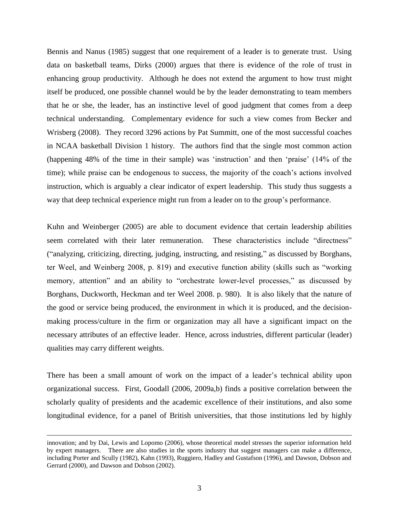Bennis and Nanus (1985) suggest that one requirement of a leader is to generate trust. Using data on basketball teams, Dirks (2000) argues that there is evidence of the role of trust in enhancing group productivity. Although he does not extend the argument to how trust might itself be produced, one possible channel would be by the leader demonstrating to team members that he or she, the leader, has an instinctive level of good judgment that comes from a deep technical understanding. Complementary evidence for such a view comes from Becker and Wrisberg (2008). They record 3296 actions by Pat Summitt, one of the most successful coaches in NCAA basketball Division 1 history. The authors find that the single most common action (happening 48% of the time in their sample) was "instruction" and then "praise" (14% of the time); while praise can be endogenous to success, the majority of the coach"s actions involved instruction, which is arguably a clear indicator of expert leadership. This study thus suggests a way that deep technical experience might run from a leader on to the group"s performance.

Kuhn and Weinberger (2005) are able to document evidence that certain leadership abilities seem correlated with their later remuneration. These characteristics include "directness" ("analyzing, criticizing, directing, judging, instructing, and resisting," as discussed by Borghans, ter Weel, and Weinberg 2008, p. 819) and executive function ability (skills such as "working memory, attention" and an ability to "orchestrate lower-level processes," as discussed by Borghans, Duckworth, Heckman and ter Weel 2008. p. 980). It is also likely that the nature of the good or service being produced, the environment in which it is produced, and the decisionmaking process/culture in the firm or organization may all have a significant impact on the necessary attributes of an effective leader. Hence, across industries, different particular (leader) qualities may carry different weights.

There has been a small amount of work on the impact of a leader"s technical ability upon organizational success. First, Goodall (2006, 2009a,b) finds a positive correlation between the scholarly quality of presidents and the academic excellence of their institutions, and also some longitudinal evidence, for a panel of British universities, that those institutions led by highly

innovation; and by Dai, Lewis and Lopomo (2006), whose theoretical model stresses the superior information held by expert managers. There are also studies in the sports industry that suggest managers can make a difference, including Porter and Scully (1982), Kahn (1993), Ruggiero, Hadley and Gustafson (1996), and Dawson, Dobson and Gerrard (2000), and Dawson and Dobson (2002).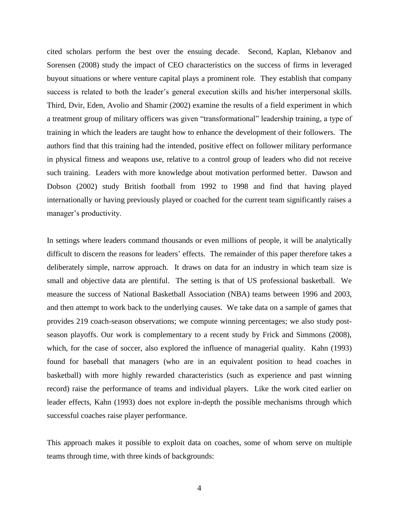cited scholars perform the best over the ensuing decade. Second, Kaplan, Klebanov and Sorensen (2008) study the impact of CEO characteristics on the success of firms in leveraged buyout situations or where venture capital plays a prominent role. They establish that company success is related to both the leader's general execution skills and his/her interpersonal skills. Third, Dvir, Eden, Avolio and Shamir (2002) examine the results of a field experiment in which a treatment group of military officers was given "transformational" leadership training, a type of training in which the leaders are taught how to enhance the development of their followers. The authors find that this training had the intended, positive effect on follower military performance in physical fitness and weapons use, relative to a control group of leaders who did not receive such training. Leaders with more knowledge about motivation performed better. Dawson and Dobson (2002) study British football from 1992 to 1998 and find that having played internationally or having previously played or coached for the current team significantly raises a manager's productivity.

In settings where leaders command thousands or even millions of people, it will be analytically difficult to discern the reasons for leaders' effects. The remainder of this paper therefore takes a deliberately simple, narrow approach. It draws on data for an industry in which team size is small and objective data are plentiful. The setting is that of US professional basketball. We measure the success of National Basketball Association (NBA) teams between 1996 and 2003, and then attempt to work back to the underlying causes. We take data on a sample of games that provides 219 coach-season observations; we compute winning percentages; we also study postseason playoffs. Our work is complementary to a recent study by Frick and Simmons (2008), which, for the case of soccer, also explored the influence of managerial quality. Kahn (1993) found for baseball that managers (who are in an equivalent position to head coaches in basketball) with more highly rewarded characteristics (such as experience and past winning record) raise the performance of teams and individual players. Like the work cited earlier on leader effects, Kahn (1993) does not explore in-depth the possible mechanisms through which successful coaches raise player performance.

This approach makes it possible to exploit data on coaches, some of whom serve on multiple teams through time, with three kinds of backgrounds: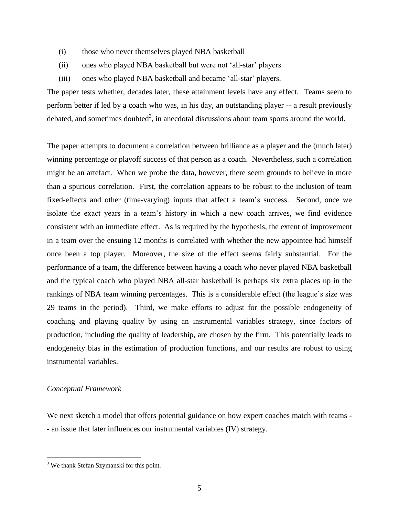- (i) those who never themselves played NBA basketball
- (ii) ones who played NBA basketball but were not "all-star" players
- (iii) ones who played NBA basketball and became 'all-star' players.

The paper tests whether, decades later, these attainment levels have any effect. Teams seem to perform better if led by a coach who was, in his day, an outstanding player -- a result previously debated, and sometimes doubted<sup>3</sup>, in anecdotal discussions about team sports around the world.

The paper attempts to document a correlation between brilliance as a player and the (much later) winning percentage or playoff success of that person as a coach. Nevertheless, such a correlation might be an artefact. When we probe the data, however, there seem grounds to believe in more than a spurious correlation. First, the correlation appears to be robust to the inclusion of team fixed-effects and other (time-varying) inputs that affect a team"s success. Second, once we isolate the exact years in a team"s history in which a new coach arrives, we find evidence consistent with an immediate effect. As is required by the hypothesis, the extent of improvement in a team over the ensuing 12 months is correlated with whether the new appointee had himself once been a top player. Moreover, the size of the effect seems fairly substantial. For the performance of a team, the difference between having a coach who never played NBA basketball and the typical coach who played NBA all-star basketball is perhaps six extra places up in the rankings of NBA team winning percentages. This is a considerable effect (the league"s size was 29 teams in the period). Third, we make efforts to adjust for the possible endogeneity of coaching and playing quality by using an instrumental variables strategy, since factors of production, including the quality of leadership, are chosen by the firm. This potentially leads to endogeneity bias in the estimation of production functions, and our results are robust to using instrumental variables.

#### *Conceptual Framework*

 $\overline{a}$ 

We next sketch a model that offers potential guidance on how expert coaches match with teams - - an issue that later influences our instrumental variables (IV) strategy.

<sup>&</sup>lt;sup>3</sup> We thank Stefan Szymanski for this point.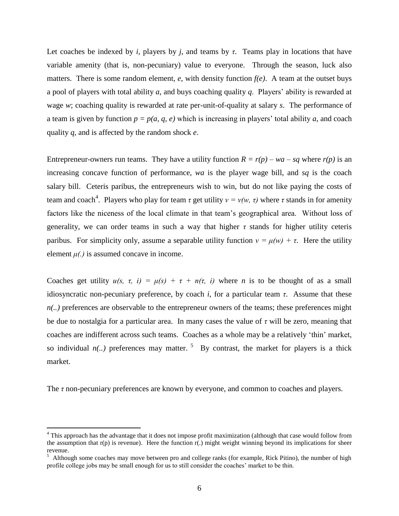Let coaches be indexed by *i*, players by *j*, and teams by  $\tau$ . Teams play in locations that have variable amenity (that is, non-pecuniary) value to everyone. Through the season, luck also matters. There is some random element, *e*, with density function *f(e)*. A team at the outset buys a pool of players with total ability *a*, and buys coaching quality *q*. Players" ability is rewarded at wage *w*; coaching quality is rewarded at rate per-unit-of-quality at salary *s*. The performance of a team is given by function  $p = p(a, q, e)$  which is increasing in players' total ability a, and coach quality *q*, and is affected by the random shock *e*.

Entrepreneur-owners run teams. They have a utility function  $R = r(p) - wa - sq$  where  $r(p)$  is an increasing concave function of performance, *wa* is the player wage bill, and *sq* is the coach salary bill. Ceteris paribus, the entrepreneurs wish to win, but do not like paying the costs of team and coach<sup>4</sup>. Players who play for team  $\tau$  get utility  $v = v(w, \tau)$  where  $\tau$  stands in for amenity factors like the niceness of the local climate in that team"s geographical area. Without loss of generality, we can order teams in such a way that higher  $\tau$  stands for higher utility ceteris paribus. For simplicity only, assume a separable utility function  $v = \mu(w) + \tau$ . Here the utility element  $\mu$ .) is assumed concave in income.

Coaches get utility  $u(s, \tau, i) = \mu(s) + \tau + n(\tau, i)$  where *n* is to be thought of as a small idiosyncratic non-pecuniary preference, by coach *i*, for a particular team *τ*. Assume that these *n(..)* preferences are observable to the entrepreneur owners of the teams; these preferences might be due to nostalgia for a particular area. In many cases the value of *τ* will be zero, meaning that coaches are indifferent across such teams. Coaches as a whole may be a relatively "thin" market, so individual  $n(.)$  preferences may matter.<sup>5</sup> By contrast, the market for players is a thick market.

The *τ* non-pecuniary preferences are known by everyone, and common to coaches and players.

<sup>&</sup>lt;sup>4</sup> This approach has the advantage that it does not impose profit maximization (although that case would follow from the assumption that  $r(p)$  is revenue). Here the function  $r(.)$  might weight winning beyond its implications for sheer revenue.

 $5$  Although some coaches may move between pro and college ranks (for example, Rick Pitino), the number of high profile college jobs may be small enough for us to still consider the coaches" market to be thin.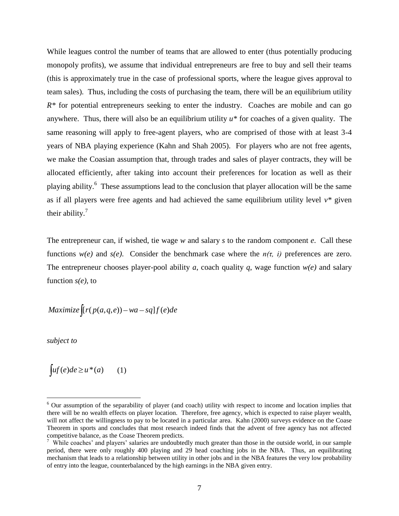While leagues control the number of teams that are allowed to enter (thus potentially producing monopoly profits), we assume that individual entrepreneurs are free to buy and sell their teams (this is approximately true in the case of professional sports, where the league gives approval to team sales). Thus, including the costs of purchasing the team, there will be an equilibrium utility *R\** for potential entrepreneurs seeking to enter the industry. Coaches are mobile and can go anywhere. Thus, there will also be an equilibrium utility *u\** for coaches of a given quality. The same reasoning will apply to free-agent players, who are comprised of those with at least 3-4 years of NBA playing experience (Kahn and Shah 2005). For players who are not free agents, we make the Coasian assumption that, through trades and sales of player contracts, they will be allocated efficiently, after taking into account their preferences for location as well as their playing ability.<sup>6</sup> These assumptions lead to the conclusion that player allocation will be the same as if all players were free agents and had achieved the same equilibrium utility level *v\** given their ability.<sup>7</sup>

The entrepreneur can, if wished, tie wage *w* and salary *s* to the random component *e*. Call these functions  $w(e)$  and  $s(e)$ . Consider the benchmark case where the  $n(\tau, i)$  preferences are zero. The entrepreneur chooses player-pool ability *a*, coach quality *q*, wage function *w(e)* and salary function *s(e)*, to

$$
Maximize \left[ [r(p(a,q,e)) - wa - sq] f(e) de \right]
$$

*subject to*

 $\overline{a}$ 

 $\int u f(e) de \geq u^*(a)$ (1)

<sup>&</sup>lt;sup>6</sup> Our assumption of the separability of player (and coach) utility with respect to income and location implies that there will be no wealth effects on player location. Therefore, free agency, which is expected to raise player wealth, will not affect the willingness to pay to be located in a particular area. Kahn (2000) surveys evidence on the Coase Theorem in sports and concludes that most research indeed finds that the advent of free agency has not affected competitive balance, as the Coase Theorem predicts.

 $\frac{7}{10}$  While coaches' and players' salaries are undoubtedly much greater than those in the outside world, in our sample period, there were only roughly 400 playing and 29 head coaching jobs in the NBA. Thus, an equilibrating mechanism that leads to a relationship between utility in other jobs and in the NBA features the very low probability of entry into the league, counterbalanced by the high earnings in the NBA given entry.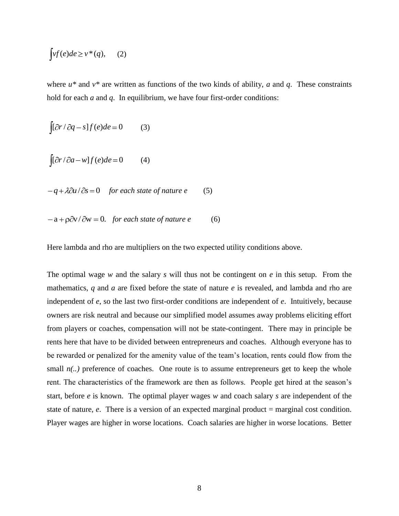$$
\int v f(e) de \ge v^*(q), \quad (2)
$$

where  $u^*$  and  $v^*$  are written as functions of the two kinds of ability, *a* and *q*. These constraints hold for each *a* and *q*. In equilibrium, we have four first-order conditions:

$$
\int [\partial r / \partial q - s] f(e) de = 0 \tag{3}
$$

 $\int [\partial r/\partial a - w] f(e) de = 0$ (4)

 $-q + \lambda \partial u / \partial s = 0$  *for each state of nature e* (5)

 $-a + \rho \partial v / \partial w = 0$ . *for each state of nature e* (6)

Here lambda and rho are multipliers on the two expected utility conditions above.

The optimal wage *w* and the salary *s* will thus not be contingent on *e* in this setup. From the mathematics, *q* and *a* are fixed before the state of nature *e* is revealed, and lambda and rho are independent of *e*, so the last two first-order conditions are independent of *e*. Intuitively, because owners are risk neutral and because our simplified model assumes away problems eliciting effort from players or coaches, compensation will not be state-contingent. There may in principle be rents here that have to be divided between entrepreneurs and coaches. Although everyone has to be rewarded or penalized for the amenity value of the team"s location, rents could flow from the small  $n(.)$  preference of coaches. One route is to assume entrepreneurs get to keep the whole rent. The characteristics of the framework are then as follows. People get hired at the season"s start, before *e* is known. The optimal player wages *w* and coach salary *s* are independent of the state of nature, *e*. There is a version of an expected marginal product = marginal cost condition. Player wages are higher in worse locations. Coach salaries are higher in worse locations. Better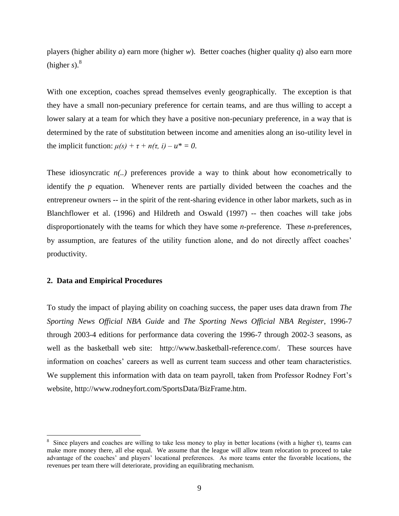players (higher ability *a*) earn more (higher *w*). Better coaches (higher quality *q*) also earn more (higher  $s$ ).<sup>8</sup>

With one exception, coaches spread themselves evenly geographically. The exception is that they have a small non-pecuniary preference for certain teams, and are thus willing to accept a lower salary at a team for which they have a positive non-pecuniary preference, in a way that is determined by the rate of substitution between income and amenities along an iso-utility level in the implicit function:  $\mu(s) + \tau + n(\tau, i) - u^* = 0$ .

These idiosyncratic *n(..)* preferences provide a way to think about how econometrically to identify the *p* equation. Whenever rents are partially divided between the coaches and the entrepreneur owners -- in the spirit of the rent-sharing evidence in other labor markets, such as in Blanchflower et al. (1996) and Hildreth and Oswald (1997) -- then coaches will take jobs disproportionately with the teams for which they have some *n*-preference. These *n*-preferences, by assumption, are features of the utility function alone, and do not directly affect coaches" productivity.

#### **2. Data and Empirical Procedures**

 $\overline{a}$ 

To study the impact of playing ability on coaching success, the paper uses data drawn from *The Sporting News Official NBA Guide* and *The Sporting News Official NBA Register*, 1996-7 through 2003-4 editions for performance data covering the 1996-7 through 2002-3 seasons, as well as the basketball web site: http://www.basketball-reference.com/. These sources have information on coaches" careers as well as current team success and other team characteristics. We supplement this information with data on team payroll, taken from Professor Rodney Fort's website, http://www.rodneyfort.com/SportsData/BizFrame.htm.

<sup>&</sup>lt;sup>8</sup> Since players and coaches are willing to take less money to play in better locations (with a higher  $\tau$ ), teams can make more money there, all else equal. We assume that the league will allow team relocation to proceed to take advantage of the coaches" and players" locational preferences. As more teams enter the favorable locations, the revenues per team there will deteriorate, providing an equilibrating mechanism.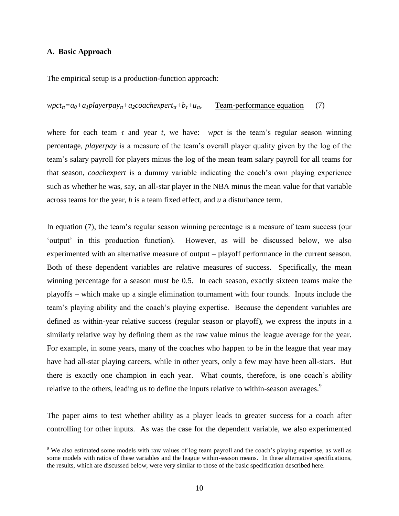#### **A. Basic Approach**

 $\overline{a}$ 

The empirical setup is a production-function approach:

#### $wpct_{\tau} = a_0 + a_1$ *playerpay*<sub> $\tau t$ </sub> +a<sub>2</sub>*coachexpert*<sub> $\tau t$ </sub> +b<sub>*τ*</sub>+*u*<sub>*τt*</sub>, Team-performance equation (7)

where for each team  $\tau$  and year  $t$ , we have: *wpct* is the team's regular season winning percentage, *playerpay* is a measure of the team"s overall player quality given by the log of the team"s salary payroll for players minus the log of the mean team salary payroll for all teams for that season, *coachexpert* is a dummy variable indicating the coach"s own playing experience such as whether he was, say, an all-star player in the NBA minus the mean value for that variable across teams for the year, *b* is a team fixed effect, and *u* a disturbance term.

In equation (7), the team"s regular season winning percentage is a measure of team success (our "output" in this production function). However, as will be discussed below, we also experimented with an alternative measure of output – playoff performance in the current season. Both of these dependent variables are relative measures of success. Specifically, the mean winning percentage for a season must be 0.5. In each season, exactly sixteen teams make the playoffs – which make up a single elimination tournament with four rounds. Inputs include the team"s playing ability and the coach"s playing expertise. Because the dependent variables are defined as within-year relative success (regular season or playoff), we express the inputs in a similarly relative way by defining them as the raw value minus the league average for the year. For example, in some years, many of the coaches who happen to be in the league that year may have had all-star playing careers, while in other years, only a few may have been all-stars. But there is exactly one champion in each year. What counts, therefore, is one coach"s ability relative to the others, leading us to define the inputs relative to within-season averages.<sup>9</sup>

The paper aims to test whether ability as a player leads to greater success for a coach after controlling for other inputs. As was the case for the dependent variable, we also experimented

<sup>&</sup>lt;sup>9</sup> We also estimated some models with raw values of log team payroll and the coach's playing expertise, as well as some models with ratios of these variables and the league within-season means. In these alternative specifications, the results, which are discussed below, were very similar to those of the basic specification described here.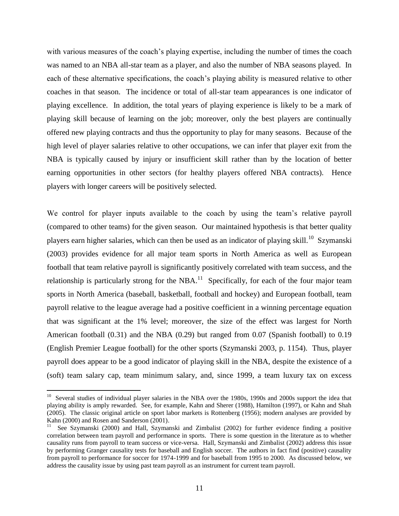with various measures of the coach's playing expertise, including the number of times the coach was named to an NBA all-star team as a player, and also the number of NBA seasons played. In each of these alternative specifications, the coach's playing ability is measured relative to other coaches in that season. The incidence or total of all-star team appearances is one indicator of playing excellence. In addition, the total years of playing experience is likely to be a mark of playing skill because of learning on the job; moreover, only the best players are continually offered new playing contracts and thus the opportunity to play for many seasons. Because of the high level of player salaries relative to other occupations, we can infer that player exit from the NBA is typically caused by injury or insufficient skill rather than by the location of better earning opportunities in other sectors (for healthy players offered NBA contracts). Hence players with longer careers will be positively selected.

We control for player inputs available to the coach by using the team"s relative payroll (compared to other teams) for the given season. Our maintained hypothesis is that better quality players earn higher salaries, which can then be used as an indicator of playing skill.<sup>10</sup> Szymanski (2003) provides evidence for all major team sports in North America as well as European football that team relative payroll is significantly positively correlated with team success, and the relationship is particularly strong for the NBA.<sup>11</sup> Specifically, for each of the four major team sports in North America (baseball, basketball, football and hockey) and European football, team payroll relative to the league average had a positive coefficient in a winning percentage equation that was significant at the 1% level; moreover, the size of the effect was largest for North American football (0.31) and the NBA (0.29) but ranged from 0.07 (Spanish football) to 0.19 (English Premier League football) for the other sports (Szymanski 2003, p. 1154). Thus, player payroll does appear to be a good indicator of playing skill in the NBA, despite the existence of a (soft) team salary cap, team minimum salary, and, since 1999, a team luxury tax on excess

<sup>&</sup>lt;sup>10</sup> Several studies of individual player salaries in the NBA over the 1980s, 1990s and 2000s support the idea that playing ability is amply rewarded. See, for example, Kahn and Sherer (1988), Hamilton (1997), or Kahn and Shah (2005). The classic original article on sport labor markets is Rottenberg (1956); modern analyses are provided by Kahn (2000) and Rosen and Sanderson (2001).

<sup>11</sup> See Szymanski (2000) and Hall, Szymanski and Zimbalist (2002) for further evidence finding a positive correlation between team payroll and performance in sports. There is some question in the literature as to whether causality runs from payroll to team success or vice-versa. Hall, Szymanski and Zimbalist (2002) address this issue by performing Granger causality tests for baseball and English soccer. The authors in fact find (positive) causality from payroll to performance for soccer for 1974-1999 and for baseball from 1995 to 2000. As discussed below, we address the causality issue by using past team payroll as an instrument for current team payroll.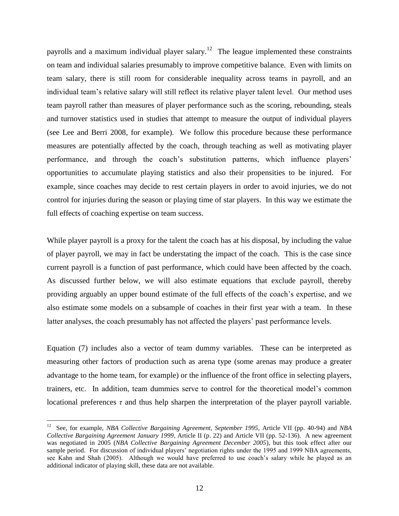payrolls and a maximum individual player salary.<sup>12</sup> The league implemented these constraints on team and individual salaries presumably to improve competitive balance. Even with limits on team salary, there is still room for considerable inequality across teams in payroll, and an individual team"s relative salary will still reflect its relative player talent level. Our method uses team payroll rather than measures of player performance such as the scoring, rebounding, steals and turnover statistics used in studies that attempt to measure the output of individual players (see Lee and Berri 2008, for example). We follow this procedure because these performance measures are potentially affected by the coach, through teaching as well as motivating player performance, and through the coach's substitution patterns, which influence players' opportunities to accumulate playing statistics and also their propensities to be injured. For example, since coaches may decide to rest certain players in order to avoid injuries, we do not control for injuries during the season or playing time of star players. In this way we estimate the full effects of coaching expertise on team success.

While player payroll is a proxy for the talent the coach has at his disposal, by including the value of player payroll, we may in fact be understating the impact of the coach. This is the case since current payroll is a function of past performance, which could have been affected by the coach. As discussed further below, we will also estimate equations that exclude payroll, thereby providing arguably an upper bound estimate of the full effects of the coach"s expertise, and we also estimate some models on a subsample of coaches in their first year with a team. In these latter analyses, the coach presumably has not affected the players' past performance levels.

Equation (7) includes also a vector of team dummy variables. These can be interpreted as measuring other factors of production such as arena type (some arenas may produce a greater advantage to the home team, for example) or the influence of the front office in selecting players, trainers, etc. In addition, team dummies serve to control for the theoretical model"s common locational preferences *τ* and thus help sharpen the interpretation of the player payroll variable.

 12 See, for example, *NBA Collective Bargaining Agreement, September 1995*, Article VII (pp. 40-94) and *NBA Collective Bargaining Agreement January 1999*, Article II (p. 22) and Article VII (pp. 52-136). A new agreement was negotiated in 2005 (*NBA Collective Bargaining Agreement December 2005*), but this took effect after our sample period. For discussion of individual players' negotiation rights under the 1995 and 1999 NBA agreements, see Kahn and Shah (2005). Although we would have preferred to use coach"s salary while he played as an additional indicator of playing skill, these data are not available.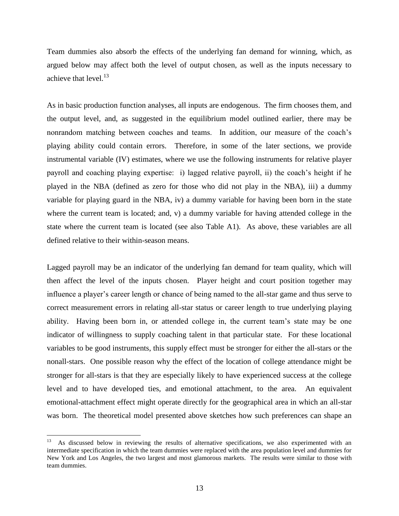Team dummies also absorb the effects of the underlying fan demand for winning, which, as argued below may affect both the level of output chosen, as well as the inputs necessary to achieve that level. $^{13}$ 

As in basic production function analyses, all inputs are endogenous. The firm chooses them, and the output level, and, as suggested in the equilibrium model outlined earlier, there may be nonrandom matching between coaches and teams. In addition, our measure of the coach's playing ability could contain errors. Therefore, in some of the later sections, we provide instrumental variable (IV) estimates, where we use the following instruments for relative player payroll and coaching playing expertise: i) lagged relative payroll, ii) the coach"s height if he played in the NBA (defined as zero for those who did not play in the NBA), iii) a dummy variable for playing guard in the NBA, iv) a dummy variable for having been born in the state where the current team is located; and, v) a dummy variable for having attended college in the state where the current team is located (see also Table A1). As above, these variables are all defined relative to their within-season means.

Lagged payroll may be an indicator of the underlying fan demand for team quality, which will then affect the level of the inputs chosen. Player height and court position together may influence a player"s career length or chance of being named to the all-star game and thus serve to correct measurement errors in relating all-star status or career length to true underlying playing ability. Having been born in, or attended college in, the current team"s state may be one indicator of willingness to supply coaching talent in that particular state. For these locational variables to be good instruments, this supply effect must be stronger for either the all-stars or the nonall-stars. One possible reason why the effect of the location of college attendance might be stronger for all-stars is that they are especially likely to have experienced success at the college level and to have developed ties, and emotional attachment, to the area. An equivalent emotional-attachment effect might operate directly for the geographical area in which an all-star was born. The theoretical model presented above sketches how such preferences can shape an

<sup>13</sup> As discussed below in reviewing the results of alternative specifications, we also experimented with an intermediate specification in which the team dummies were replaced with the area population level and dummies for New York and Los Angeles, the two largest and most glamorous markets. The results were similar to those with team dummies.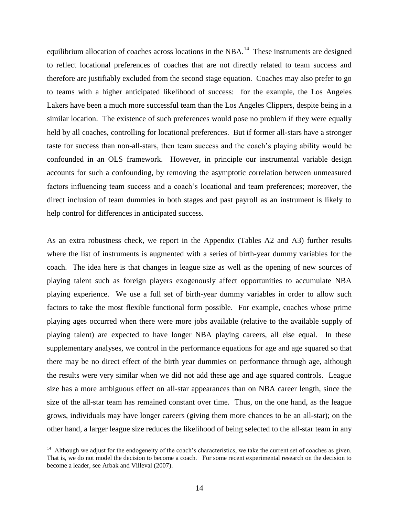equilibrium allocation of coaches across locations in the NBA. $<sup>14</sup>$  These instruments are designed</sup> to reflect locational preferences of coaches that are not directly related to team success and therefore are justifiably excluded from the second stage equation. Coaches may also prefer to go to teams with a higher anticipated likelihood of success: for the example, the Los Angeles Lakers have been a much more successful team than the Los Angeles Clippers, despite being in a similar location. The existence of such preferences would pose no problem if they were equally held by all coaches, controlling for locational preferences. But if former all-stars have a stronger taste for success than non-all-stars, then team success and the coach"s playing ability would be confounded in an OLS framework. However, in principle our instrumental variable design accounts for such a confounding, by removing the asymptotic correlation between unmeasured factors influencing team success and a coach"s locational and team preferences; moreover, the direct inclusion of team dummies in both stages and past payroll as an instrument is likely to help control for differences in anticipated success.

As an extra robustness check, we report in the Appendix (Tables A2 and A3) further results where the list of instruments is augmented with a series of birth-year dummy variables for the coach. The idea here is that changes in league size as well as the opening of new sources of playing talent such as foreign players exogenously affect opportunities to accumulate NBA playing experience. We use a full set of birth-year dummy variables in order to allow such factors to take the most flexible functional form possible. For example, coaches whose prime playing ages occurred when there were more jobs available (relative to the available supply of playing talent) are expected to have longer NBA playing careers, all else equal. In these supplementary analyses, we control in the performance equations for age and age squared so that there may be no direct effect of the birth year dummies on performance through age, although the results were very similar when we did not add these age and age squared controls. League size has a more ambiguous effect on all-star appearances than on NBA career length, since the size of the all-star team has remained constant over time. Thus, on the one hand, as the league grows, individuals may have longer careers (giving them more chances to be an all-star); on the other hand, a larger league size reduces the likelihood of being selected to the all-star team in any

<sup>&</sup>lt;sup>14</sup> Although we adjust for the endogeneity of the coach's characteristics, we take the current set of coaches as given. That is, we do not model the decision to become a coach. For some recent experimental research on the decision to become a leader, see Arbak and Villeval (2007).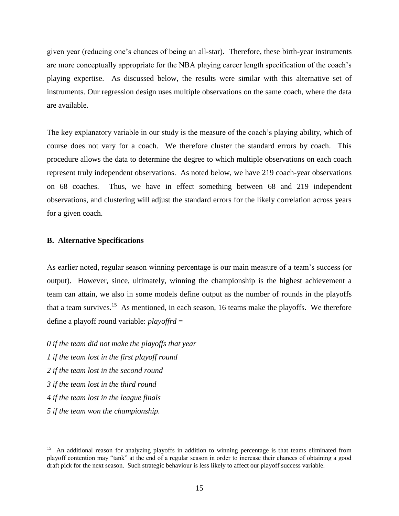given year (reducing one"s chances of being an all-star). Therefore, these birth-year instruments are more conceptually appropriate for the NBA playing career length specification of the coach"s playing expertise. As discussed below, the results were similar with this alternative set of instruments. Our regression design uses multiple observations on the same coach, where the data are available.

The key explanatory variable in our study is the measure of the coach"s playing ability, which of course does not vary for a coach. We therefore cluster the standard errors by coach. This procedure allows the data to determine the degree to which multiple observations on each coach represent truly independent observations. As noted below, we have 219 coach-year observations on 68 coaches. Thus, we have in effect something between 68 and 219 independent observations, and clustering will adjust the standard errors for the likely correlation across years for a given coach.

#### **B. Alternative Specifications**

As earlier noted, regular season winning percentage is our main measure of a team"s success (or output). However, since, ultimately, winning the championship is the highest achievement a team can attain, we also in some models define output as the number of rounds in the playoffs that a team survives.<sup>15</sup> As mentioned, in each season, 16 teams make the playoffs. We therefore define a playoff round variable: *playoffrd* =

*0 if the team did not make the playoffs that year 1 if the team lost in the first playoff round 2 if the team lost in the second round 3 if the team lost in the third round 4 if the team lost in the league finals 5 if the team won the championship.*

<sup>15</sup> An additional reason for analyzing playoffs in addition to winning percentage is that teams eliminated from playoff contention may "tank" at the end of a regular season in order to increase their chances of obtaining a good draft pick for the next season. Such strategic behaviour is less likely to affect our playoff success variable.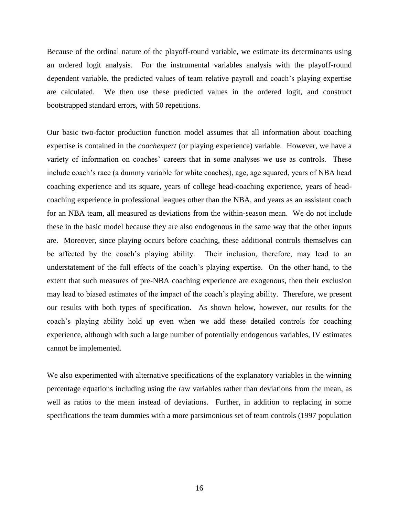Because of the ordinal nature of the playoff-round variable, we estimate its determinants using an ordered logit analysis. For the instrumental variables analysis with the playoff-round dependent variable, the predicted values of team relative payroll and coach"s playing expertise are calculated. We then use these predicted values in the ordered logit, and construct bootstrapped standard errors, with 50 repetitions.

Our basic two-factor production function model assumes that all information about coaching expertise is contained in the *coachexpert* (or playing experience) variable. However, we have a variety of information on coaches' careers that in some analyses we use as controls. These include coach's race (a dummy variable for white coaches), age, age squared, years of NBA head coaching experience and its square, years of college head-coaching experience, years of headcoaching experience in professional leagues other than the NBA, and years as an assistant coach for an NBA team, all measured as deviations from the within-season mean. We do not include these in the basic model because they are also endogenous in the same way that the other inputs are. Moreover, since playing occurs before coaching, these additional controls themselves can be affected by the coach's playing ability. Their inclusion, therefore, may lead to an understatement of the full effects of the coach"s playing expertise. On the other hand, to the extent that such measures of pre-NBA coaching experience are exogenous, then their exclusion may lead to biased estimates of the impact of the coach"s playing ability. Therefore, we present our results with both types of specification. As shown below, however, our results for the coach"s playing ability hold up even when we add these detailed controls for coaching experience, although with such a large number of potentially endogenous variables, IV estimates cannot be implemented.

We also experimented with alternative specifications of the explanatory variables in the winning percentage equations including using the raw variables rather than deviations from the mean, as well as ratios to the mean instead of deviations. Further, in addition to replacing in some specifications the team dummies with a more parsimonious set of team controls (1997 population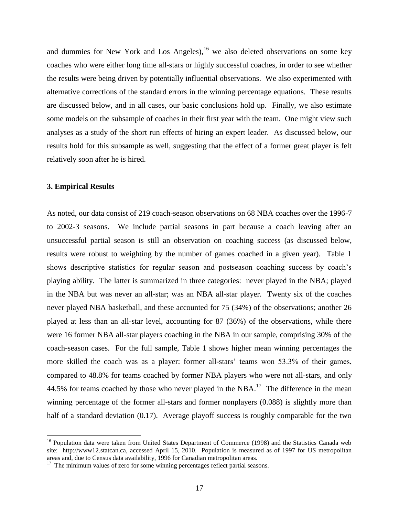and dummies for New York and Los Angeles),  $16$  we also deleted observations on some key coaches who were either long time all-stars or highly successful coaches, in order to see whether the results were being driven by potentially influential observations. We also experimented with alternative corrections of the standard errors in the winning percentage equations. These results are discussed below, and in all cases, our basic conclusions hold up. Finally, we also estimate some models on the subsample of coaches in their first year with the team. One might view such analyses as a study of the short run effects of hiring an expert leader. As discussed below, our results hold for this subsample as well, suggesting that the effect of a former great player is felt relatively soon after he is hired.

#### **3. Empirical Results**

 $\overline{a}$ 

As noted, our data consist of 219 coach-season observations on 68 NBA coaches over the 1996-7 to 2002-3 seasons. We include partial seasons in part because a coach leaving after an unsuccessful partial season is still an observation on coaching success (as discussed below, results were robust to weighting by the number of games coached in a given year). Table 1 shows descriptive statistics for regular season and postseason coaching success by coach"s playing ability. The latter is summarized in three categories: never played in the NBA; played in the NBA but was never an all-star; was an NBA all-star player. Twenty six of the coaches never played NBA basketball, and these accounted for 75 (34%) of the observations; another 26 played at less than an all-star level, accounting for 87 (36%) of the observations, while there were 16 former NBA all-star players coaching in the NBA in our sample, comprising 30% of the coach-season cases. For the full sample, Table 1 shows higher mean winning percentages the more skilled the coach was as a player: former all-stars' teams won 53.3% of their games, compared to 48.8% for teams coached by former NBA players who were not all-stars, and only 44.5% for teams coached by those who never played in the NBA.<sup>17</sup> The difference in the mean winning percentage of the former all-stars and former nonplayers (0.088) is slightly more than half of a standard deviation (0.17). Average playoff success is roughly comparable for the two

<sup>&</sup>lt;sup>16</sup> Population data were taken from United States Department of Commerce (1998) and the Statistics Canada web site: http://www12.statcan.ca, accessed April 15, 2010. Population is measured as of 1997 for US metropolitan areas and, due to Census data availability, 1996 for Canadian metropolitan areas.

<sup>&</sup>lt;sup>17</sup> The minimum values of zero for some winning percentages reflect partial seasons.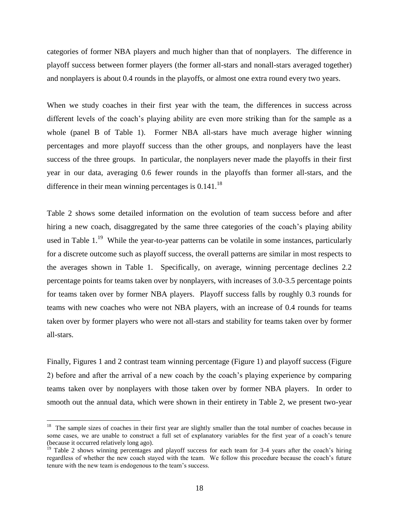categories of former NBA players and much higher than that of nonplayers. The difference in playoff success between former players (the former all-stars and nonall-stars averaged together) and nonplayers is about 0.4 rounds in the playoffs, or almost one extra round every two years.

When we study coaches in their first year with the team, the differences in success across different levels of the coach"s playing ability are even more striking than for the sample as a whole (panel B of Table 1). Former NBA all-stars have much average higher winning percentages and more playoff success than the other groups, and nonplayers have the least success of the three groups. In particular, the nonplayers never made the playoffs in their first year in our data, averaging 0.6 fewer rounds in the playoffs than former all-stars, and the difference in their mean winning percentages is  $0.141$ .<sup>18</sup>

Table 2 shows some detailed information on the evolution of team success before and after hiring a new coach, disaggregated by the same three categories of the coach's playing ability used in Table  $1.^{19}$  While the year-to-year patterns can be volatile in some instances, particularly for a discrete outcome such as playoff success, the overall patterns are similar in most respects to the averages shown in Table 1. Specifically, on average, winning percentage declines 2.2 percentage points for teams taken over by nonplayers, with increases of 3.0-3.5 percentage points for teams taken over by former NBA players. Playoff success falls by roughly 0.3 rounds for teams with new coaches who were not NBA players, with an increase of 0.4 rounds for teams taken over by former players who were not all-stars and stability for teams taken over by former all-stars.

Finally, Figures 1 and 2 contrast team winning percentage (Figure 1) and playoff success (Figure 2) before and after the arrival of a new coach by the coach"s playing experience by comparing teams taken over by nonplayers with those taken over by former NBA players. In order to smooth out the annual data, which were shown in their entirety in Table 2, we present two-year

<sup>&</sup>lt;sup>18</sup> The sample sizes of coaches in their first year are slightly smaller than the total number of coaches because in some cases, we are unable to construct a full set of explanatory variables for the first year of a coach's tenure (because it occurred relatively long ago).

<sup>&</sup>lt;sup>19</sup> Table 2 shows winning percentages and playoff success for each team for 3-4 years after the coach's hiring regardless of whether the new coach stayed with the team. We follow this procedure because the coach"s future tenure with the new team is endogenous to the team"s success.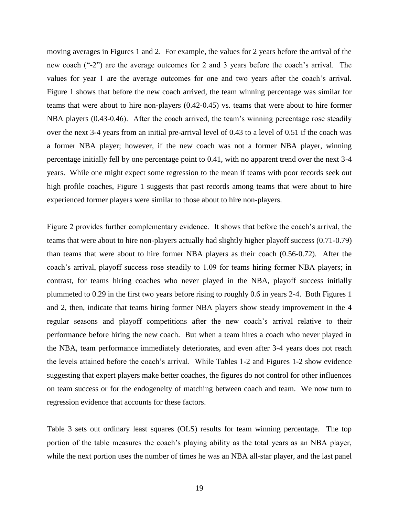moving averages in Figures 1 and 2. For example, the values for 2 years before the arrival of the new coach ("-2") are the average outcomes for 2 and 3 years before the coach's arrival. The values for year 1 are the average outcomes for one and two years after the coach"s arrival. Figure 1 shows that before the new coach arrived, the team winning percentage was similar for teams that were about to hire non-players (0.42-0.45) vs. teams that were about to hire former NBA players (0.43-0.46). After the coach arrived, the team's winning percentage rose steadily over the next 3-4 years from an initial pre-arrival level of 0.43 to a level of 0.51 if the coach was a former NBA player; however, if the new coach was not a former NBA player, winning percentage initially fell by one percentage point to 0.41, with no apparent trend over the next 3-4 years. While one might expect some regression to the mean if teams with poor records seek out high profile coaches, Figure 1 suggests that past records among teams that were about to hire experienced former players were similar to those about to hire non-players.

Figure 2 provides further complementary evidence. It shows that before the coach"s arrival, the teams that were about to hire non-players actually had slightly higher playoff success (0.71-0.79) than teams that were about to hire former NBA players as their coach (0.56-0.72). After the coach"s arrival, playoff success rose steadily to 1.09 for teams hiring former NBA players; in contrast, for teams hiring coaches who never played in the NBA, playoff success initially plummeted to 0.29 in the first two years before rising to roughly 0.6 in years 2-4. Both Figures 1 and 2, then, indicate that teams hiring former NBA players show steady improvement in the 4 regular seasons and playoff competitions after the new coach"s arrival relative to their performance before hiring the new coach. But when a team hires a coach who never played in the NBA, team performance immediately deteriorates, and even after 3-4 years does not reach the levels attained before the coach"s arrival. While Tables 1-2 and Figures 1-2 show evidence suggesting that expert players make better coaches, the figures do not control for other influences on team success or for the endogeneity of matching between coach and team. We now turn to regression evidence that accounts for these factors.

Table 3 sets out ordinary least squares (OLS) results for team winning percentage. The top portion of the table measures the coach"s playing ability as the total years as an NBA player, while the next portion uses the number of times he was an NBA all-star player, and the last panel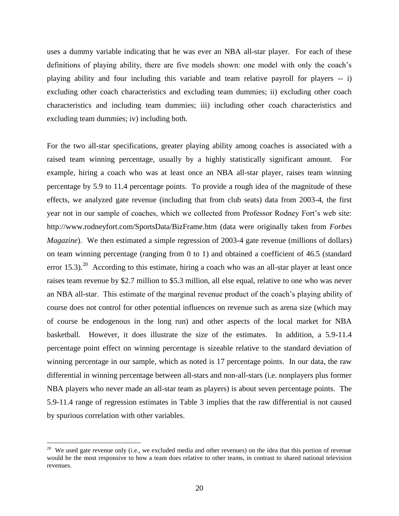uses a dummy variable indicating that he was ever an NBA all-star player. For each of these definitions of playing ability, there are five models shown: one model with only the coach"s playing ability and four including this variable and team relative payroll for players -- i) excluding other coach characteristics and excluding team dummies; ii) excluding other coach characteristics and including team dummies; iii) including other coach characteristics and excluding team dummies; iv) including both.

For the two all-star specifications, greater playing ability among coaches is associated with a raised team winning percentage, usually by a highly statistically significant amount. For example, hiring a coach who was at least once an NBA all-star player, raises team winning percentage by 5.9 to 11.4 percentage points. To provide a rough idea of the magnitude of these effects, we analyzed gate revenue (including that from club seats) data from 2003-4, the first year not in our sample of coaches, which we collected from Professor Rodney Fort's web site: http://www.rodneyfort.com/SportsData/BizFrame.htm (data were originally taken from *Forbes Magazine*). We then estimated a simple regression of 2003-4 gate revenue (millions of dollars) on team winning percentage (ranging from 0 to 1) and obtained a coefficient of 46.5 (standard error 15.3).<sup>20</sup> According to this estimate, hiring a coach who was an all-star player at least once raises team revenue by \$2.7 million to \$5.3 million, all else equal, relative to one who was never an NBA all-star. This estimate of the marginal revenue product of the coach"s playing ability of course does not control for other potential influences on revenue such as arena size (which may of course be endogenous in the long run) and other aspects of the local market for NBA basketball. However, it does illustrate the size of the estimates. In addition, a 5.9-11.4 percentage point effect on winning percentage is sizeable relative to the standard deviation of winning percentage in our sample, which as noted is 17 percentage points. In our data, the raw differential in winning percentage between all-stars and non-all-stars (i.e. nonplayers plus former NBA players who never made an all-star team as players) is about seven percentage points. The 5.9-11.4 range of regression estimates in Table 3 implies that the raw differential is not caused by spurious correlation with other variables.

 $20$  We used gate revenue only (i.e., we excluded media and other revenues) on the idea that this portion of revenue would be the most responsive to how a team does relative to other teams, in contrast to shared national television revenues.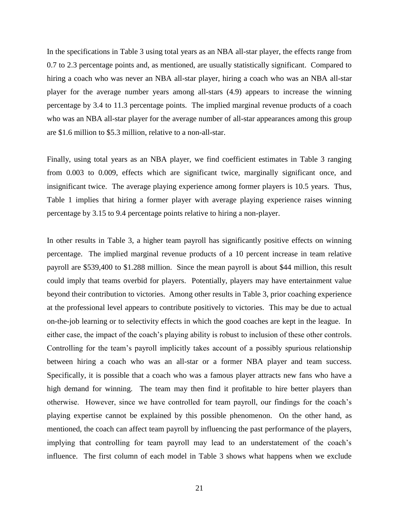In the specifications in Table 3 using total years as an NBA all-star player, the effects range from 0.7 to 2.3 percentage points and, as mentioned, are usually statistically significant. Compared to hiring a coach who was never an NBA all-star player, hiring a coach who was an NBA all-star player for the average number years among all-stars (4.9) appears to increase the winning percentage by 3.4 to 11.3 percentage points. The implied marginal revenue products of a coach who was an NBA all-star player for the average number of all-star appearances among this group are \$1.6 million to \$5.3 million, relative to a non-all-star.

Finally, using total years as an NBA player, we find coefficient estimates in Table 3 ranging from 0.003 to 0.009, effects which are significant twice, marginally significant once, and insignificant twice. The average playing experience among former players is 10.5 years. Thus, Table 1 implies that hiring a former player with average playing experience raises winning percentage by 3.15 to 9.4 percentage points relative to hiring a non-player.

In other results in Table 3, a higher team payroll has significantly positive effects on winning percentage. The implied marginal revenue products of a 10 percent increase in team relative payroll are \$539,400 to \$1.288 million. Since the mean payroll is about \$44 million, this result could imply that teams overbid for players. Potentially, players may have entertainment value beyond their contribution to victories. Among other results in Table 3, prior coaching experience at the professional level appears to contribute positively to victories. This may be due to actual on-the-job learning or to selectivity effects in which the good coaches are kept in the league. In either case, the impact of the coach's playing ability is robust to inclusion of these other controls. Controlling for the team"s payroll implicitly takes account of a possibly spurious relationship between hiring a coach who was an all-star or a former NBA player and team success. Specifically, it is possible that a coach who was a famous player attracts new fans who have a high demand for winning. The team may then find it profitable to hire better players than otherwise. However, since we have controlled for team payroll, our findings for the coach"s playing expertise cannot be explained by this possible phenomenon. On the other hand, as mentioned, the coach can affect team payroll by influencing the past performance of the players, implying that controlling for team payroll may lead to an understatement of the coach"s influence. The first column of each model in Table 3 shows what happens when we exclude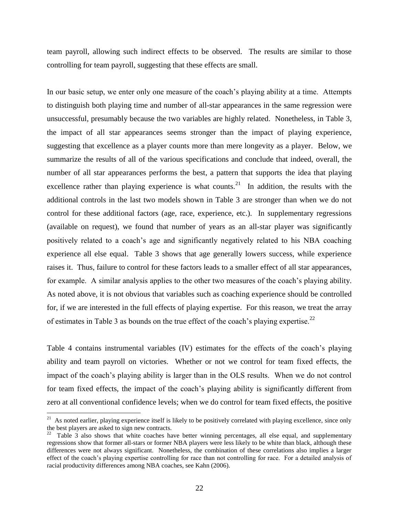team payroll, allowing such indirect effects to be observed. The results are similar to those controlling for team payroll, suggesting that these effects are small.

In our basic setup, we enter only one measure of the coach"s playing ability at a time. Attempts to distinguish both playing time and number of all-star appearances in the same regression were unsuccessful, presumably because the two variables are highly related. Nonetheless, in Table 3, the impact of all star appearances seems stronger than the impact of playing experience, suggesting that excellence as a player counts more than mere longevity as a player. Below, we summarize the results of all of the various specifications and conclude that indeed, overall, the number of all star appearances performs the best, a pattern that supports the idea that playing excellence rather than playing experience is what counts.<sup>21</sup> In addition, the results with the additional controls in the last two models shown in Table 3 are stronger than when we do not control for these additional factors (age, race, experience, etc.). In supplementary regressions (available on request), we found that number of years as an all-star player was significantly positively related to a coach"s age and significantly negatively related to his NBA coaching experience all else equal. Table 3 shows that age generally lowers success, while experience raises it. Thus, failure to control for these factors leads to a smaller effect of all star appearances, for example. A similar analysis applies to the other two measures of the coach"s playing ability. As noted above, it is not obvious that variables such as coaching experience should be controlled for, if we are interested in the full effects of playing expertise. For this reason, we treat the array of estimates in Table 3 as bounds on the true effect of the coach's playing expertise.<sup>22</sup>

Table 4 contains instrumental variables (IV) estimates for the effects of the coach"s playing ability and team payroll on victories. Whether or not we control for team fixed effects, the impact of the coach"s playing ability is larger than in the OLS results. When we do not control for team fixed effects, the impact of the coach"s playing ability is significantly different from zero at all conventional confidence levels; when we do control for team fixed effects, the positive

<sup>&</sup>lt;sup>21</sup> As noted earlier, playing experience itself is likely to be positively correlated with playing excellence, since only the best players are asked to sign new contracts.

 $22$  Table 3 also shows that white coaches have better winning percentages, all else equal, and supplementary regressions show that former all-stars or former NBA players were less likely to be white than black, although these differences were not always significant. Nonetheless, the combination of these correlations also implies a larger effect of the coach"s playing expertise controlling for race than not controlling for race. For a detailed analysis of racial productivity differences among NBA coaches, see Kahn (2006).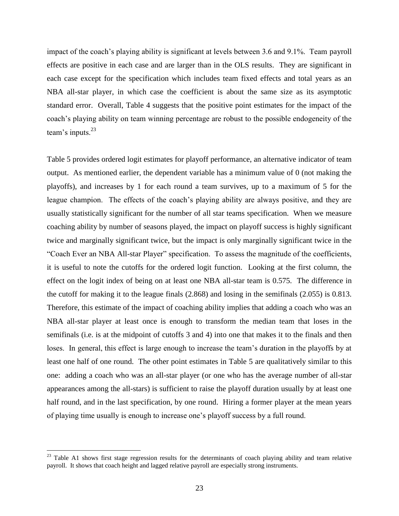impact of the coach"s playing ability is significant at levels between 3.6 and 9.1%. Team payroll effects are positive in each case and are larger than in the OLS results. They are significant in each case except for the specification which includes team fixed effects and total years as an NBA all-star player, in which case the coefficient is about the same size as its asymptotic standard error. Overall, Table 4 suggests that the positive point estimates for the impact of the coach"s playing ability on team winning percentage are robust to the possible endogeneity of the team's inputs. $^{23}$ 

Table 5 provides ordered logit estimates for playoff performance, an alternative indicator of team output. As mentioned earlier, the dependent variable has a minimum value of 0 (not making the playoffs), and increases by 1 for each round a team survives, up to a maximum of 5 for the league champion. The effects of the coach's playing ability are always positive, and they are usually statistically significant for the number of all star teams specification. When we measure coaching ability by number of seasons played, the impact on playoff success is highly significant twice and marginally significant twice, but the impact is only marginally significant twice in the "Coach Ever an NBA All-star Player" specification. To assess the magnitude of the coefficients, it is useful to note the cutoffs for the ordered logit function. Looking at the first column, the effect on the logit index of being on at least one NBA all-star team is 0.575. The difference in the cutoff for making it to the league finals (2.868) and losing in the semifinals (2.055) is 0.813. Therefore, this estimate of the impact of coaching ability implies that adding a coach who was an NBA all-star player at least once is enough to transform the median team that loses in the semifinals (i.e. is at the midpoint of cutoffs 3 and 4) into one that makes it to the finals and then loses. In general, this effect is large enough to increase the team"s duration in the playoffs by at least one half of one round. The other point estimates in Table 5 are qualitatively similar to this one: adding a coach who was an all-star player (or one who has the average number of all-star appearances among the all-stars) is sufficient to raise the playoff duration usually by at least one half round, and in the last specification, by one round. Hiring a former player at the mean years of playing time usually is enough to increase one"s playoff success by a full round.

 $^{23}$  Table A1 shows first stage regression results for the determinants of coach playing ability and team relative payroll. It shows that coach height and lagged relative payroll are especially strong instruments.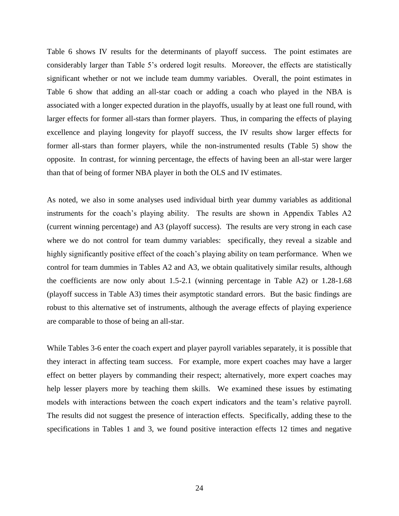Table 6 shows IV results for the determinants of playoff success. The point estimates are considerably larger than Table 5"s ordered logit results. Moreover, the effects are statistically significant whether or not we include team dummy variables. Overall, the point estimates in Table 6 show that adding an all-star coach or adding a coach who played in the NBA is associated with a longer expected duration in the playoffs, usually by at least one full round, with larger effects for former all-stars than former players. Thus, in comparing the effects of playing excellence and playing longevity for playoff success, the IV results show larger effects for former all-stars than former players, while the non-instrumented results (Table 5) show the opposite. In contrast, for winning percentage, the effects of having been an all-star were larger than that of being of former NBA player in both the OLS and IV estimates.

As noted, we also in some analyses used individual birth year dummy variables as additional instruments for the coach's playing ability. The results are shown in Appendix Tables A2 (current winning percentage) and A3 (playoff success). The results are very strong in each case where we do not control for team dummy variables: specifically, they reveal a sizable and highly significantly positive effect of the coach's playing ability on team performance. When we control for team dummies in Tables A2 and A3, we obtain qualitatively similar results, although the coefficients are now only about 1.5-2.1 (winning percentage in Table A2) or 1.28-1.68 (playoff success in Table A3) times their asymptotic standard errors. But the basic findings are robust to this alternative set of instruments, although the average effects of playing experience are comparable to those of being an all-star.

While Tables 3-6 enter the coach expert and player payroll variables separately, it is possible that they interact in affecting team success. For example, more expert coaches may have a larger effect on better players by commanding their respect; alternatively, more expert coaches may help lesser players more by teaching them skills. We examined these issues by estimating models with interactions between the coach expert indicators and the team"s relative payroll. The results did not suggest the presence of interaction effects. Specifically, adding these to the specifications in Tables 1 and 3, we found positive interaction effects 12 times and negative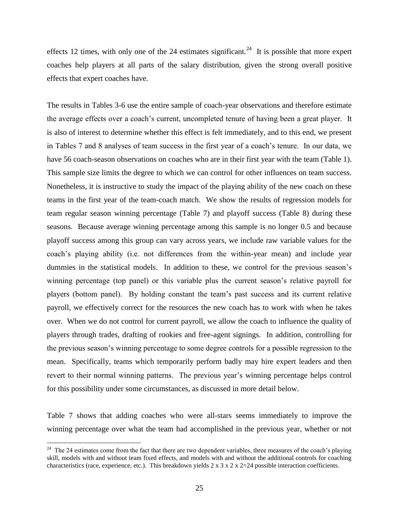effects 12 times, with only one of the 24 estimates significant.<sup>24</sup> It is possible that more expert coaches help players at all parts of the salary distribution, given the strong overall positive effects that expert coaches have.

The results in Tables 3-6 use the entire sample of coach-year observations and therefore estimate the average effects over a coach"s current, uncompleted tenure of having been a great player. It is also of interest to determine whether this effect is felt immediately, and to this end, we present in Tables 7 and 8 analyses of team success in the first year of a coach"s tenure. In our data, we have 56 coach-season observations on coaches who are in their first year with the team (Table 1). This sample size limits the degree to which we can control for other influences on team success. Nonetheless, it is instructive to study the impact of the playing ability of the new coach on these teams in the first year of the team-coach match. We show the results of regression models for team regular season winning percentage (Table 7) and playoff success (Table 8) during these seasons. Because average winning percentage among this sample is no longer 0.5 and because playoff success among this group can vary across years, we include raw variable values for the coach"s playing ability (i.e. not differences from the within-year mean) and include year dummies in the statistical models. In addition to these, we control for the previous season's winning percentage (top panel) or this variable plus the current season's relative payroll for players (bottom panel). By holding constant the team"s past success and its current relative payroll, we effectively correct for the resources the new coach has to work with when he takes over. When we do not control for current payroll, we allow the coach to influence the quality of players through trades, drafting of rookies and free-agent signings. In addition, controlling for the previous season"s winning percentage to some degree controls for a possible regression to the mean. Specifically, teams which temporarily perform badly may hire expert leaders and then revert to their normal winning patterns. The previous year's winning percentage helps control for this possibility under some circumstances, as discussed in more detail below.

Table 7 shows that adding coaches who were all-stars seems immediately to improve the winning percentage over what the team had accomplished in the previous year, whether or not

 $24$  The 24 estimates come from the fact that there are two dependent variables, three measures of the coach's playing skill, models with and without team fixed effects, and models with and without the additional controls for coaching characteristics (race, experience, etc.). This breakdown yields  $2 \times 3 \times 2 \times 2 = 24$  possible interaction coefficients.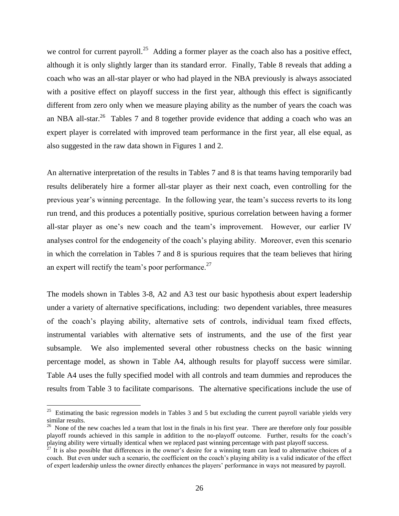we control for current payroll.<sup>25</sup> Adding a former player as the coach also has a positive effect, although it is only slightly larger than its standard error. Finally, Table 8 reveals that adding a coach who was an all-star player or who had played in the NBA previously is always associated with a positive effect on playoff success in the first year, although this effect is significantly different from zero only when we measure playing ability as the number of years the coach was an NBA all-star.<sup>26</sup> Tables 7 and 8 together provide evidence that adding a coach who was an expert player is correlated with improved team performance in the first year, all else equal, as also suggested in the raw data shown in Figures 1 and 2.

An alternative interpretation of the results in Tables 7 and 8 is that teams having temporarily bad results deliberately hire a former all-star player as their next coach, even controlling for the previous year"s winning percentage. In the following year, the team"s success reverts to its long run trend, and this produces a potentially positive, spurious correlation between having a former all-star player as one"s new coach and the team"s improvement. However, our earlier IV analyses control for the endogeneity of the coach's playing ability. Moreover, even this scenario in which the correlation in Tables 7 and 8 is spurious requires that the team believes that hiring an expert will rectify the team's poor performance. $27$ 

The models shown in Tables 3-8, A2 and A3 test our basic hypothesis about expert leadership under a variety of alternative specifications, including: two dependent variables, three measures of the coach"s playing ability, alternative sets of controls, individual team fixed effects, instrumental variables with alternative sets of instruments, and the use of the first year subsample. We also implemented several other robustness checks on the basic winning percentage model, as shown in Table A4, although results for playoff success were similar. Table A4 uses the fully specified model with all controls and team dummies and reproduces the results from Table 3 to facilitate comparisons. The alternative specifications include the use of

 $25$  Estimating the basic regression models in Tables 3 and 5 but excluding the current payroll variable yields very similar results.

<sup>&</sup>lt;sup>26</sup> None of the new coaches led a team that lost in the finals in his first year. There are therefore only four possible playoff rounds achieved in this sample in addition to the no-playoff outcome. Further, results for the coach"s playing ability were virtually identical when we replaced past winning percentage with past playoff success.

 $^{27}$  It is also possible that differences in the owner's desire for a winning team can lead to alternative choices of a coach. But even under such a scenario, the coefficient on the coach"s playing ability is a valid indicator of the effect of expert leadership unless the owner directly enhances the players" performance in ways not measured by payroll.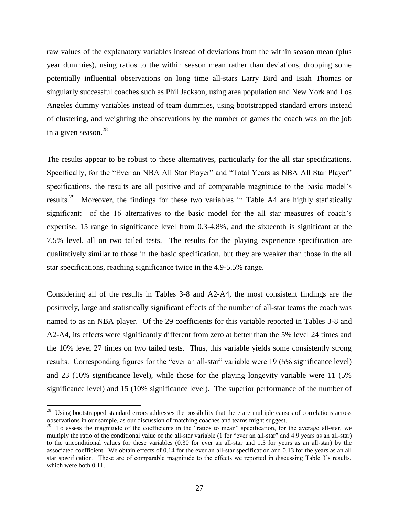raw values of the explanatory variables instead of deviations from the within season mean (plus year dummies), using ratios to the within season mean rather than deviations, dropping some potentially influential observations on long time all-stars Larry Bird and Isiah Thomas or singularly successful coaches such as Phil Jackson, using area population and New York and Los Angeles dummy variables instead of team dummies, using bootstrapped standard errors instead of clustering, and weighting the observations by the number of games the coach was on the job in a given season. $^{28}$ 

The results appear to be robust to these alternatives, particularly for the all star specifications. Specifically, for the "Ever an NBA All Star Player" and "Total Years as NBA All Star Player" specifications, the results are all positive and of comparable magnitude to the basic model's results.<sup>29</sup> Moreover, the findings for these two variables in Table A4 are highly statistically significant: of the 16 alternatives to the basic model for the all star measures of coach"s expertise, 15 range in significance level from 0.3-4.8%, and the sixteenth is significant at the 7.5% level, all on two tailed tests. The results for the playing experience specification are qualitatively similar to those in the basic specification, but they are weaker than those in the all star specifications, reaching significance twice in the 4.9-5.5% range.

Considering all of the results in Tables 3-8 and A2-A4, the most consistent findings are the positively, large and statistically significant effects of the number of all-star teams the coach was named to as an NBA player. Of the 29 coefficients for this variable reported in Tables 3-8 and A2-A4, its effects were significantly different from zero at better than the 5% level 24 times and the 10% level 27 times on two tailed tests. Thus, this variable yields some consistently strong results. Corresponding figures for the "ever an all-star" variable were 19 (5% significance level) and 23 (10% significance level), while those for the playing longevity variable were 11 (5% significance level) and 15 (10% significance level). The superior performance of the number of

<sup>&</sup>lt;sup>28</sup> Using bootstrapped standard errors addresses the possibility that there are multiple causes of correlations across observations in our sample, as our discussion of matching coaches and teams might suggest.

<sup>&</sup>lt;sup>29</sup> To assess the magnitude of the coefficients in the "ratios to mean" specification, for the average all-star, we multiply the ratio of the conditional value of the all-star variable (1 for "ever an all-star" and 4.9 years as an all-star) to the unconditional values for these variables (0.30 for ever an all-star and 1.5 for years as an all-star) by the associated coefficient. We obtain effects of 0.14 for the ever an all-star specification and 0.13 for the years as an all star specification. These are of comparable magnitude to the effects we reported in discussing Table 3"s results, which were both 0.11.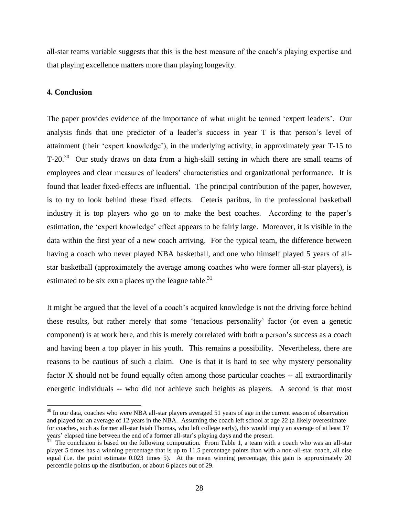all-star teams variable suggests that this is the best measure of the coach"s playing expertise and that playing excellence matters more than playing longevity.

#### **4. Conclusion**

 $\overline{a}$ 

The paper provides evidence of the importance of what might be termed "expert leaders". Our analysis finds that one predictor of a leader"s success in year T is that person"s level of attainment (their "expert knowledge"), in the underlying activity, in approximately year T-15 to  $T-20$ <sup>30</sup> Our study draws on data from a high-skill setting in which there are small teams of employees and clear measures of leaders" characteristics and organizational performance. It is found that leader fixed-effects are influential. The principal contribution of the paper, however, is to try to look behind these fixed effects. Ceteris paribus, in the professional basketball industry it is top players who go on to make the best coaches. According to the paper's estimation, the "expert knowledge" effect appears to be fairly large. Moreover, it is visible in the data within the first year of a new coach arriving. For the typical team, the difference between having a coach who never played NBA basketball, and one who himself played 5 years of allstar basketball (approximately the average among coaches who were former all-star players), is estimated to be six extra places up the league table.<sup>31</sup>

It might be argued that the level of a coach"s acquired knowledge is not the driving force behind these results, but rather merely that some "tenacious personality" factor (or even a genetic component) is at work here, and this is merely correlated with both a person"s success as a coach and having been a top player in his youth. This remains a possibility. Nevertheless, there are reasons to be cautious of such a claim. One is that it is hard to see why mystery personality factor X should not be found equally often among those particular coaches -- all extraordinarily energetic individuals -- who did not achieve such heights as players. A second is that most

 $30$  In our data, coaches who were NBA all-star players averaged 51 years of age in the current season of observation and played for an average of 12 years in the NBA. Assuming the coach left school at age 22 (a likely overestimate for coaches, such as former all-star Isiah Thomas, who left college early), this would imply an average of at least 17

years' elapsed time between the end of a former all-star's playing days and the present.<br><sup>31</sup> The conclusion is based on the following computation. From Table 1, a team with a coach who was an all-star player 5 times has a winning percentage that is up to 11.5 percentage points than with a non-all-star coach, all else equal (i.e. the point estimate 0.023 times 5). At the mean winning percentage, this gain is approximately 20 percentile points up the distribution, or about 6 places out of 29.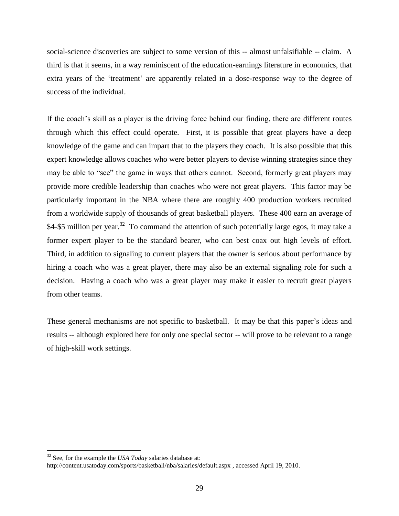social-science discoveries are subject to some version of this -- almost unfalsifiable -- claim. A third is that it seems, in a way reminiscent of the education-earnings literature in economics, that extra years of the 'treatment' are apparently related in a dose-response way to the degree of success of the individual.

If the coach's skill as a player is the driving force behind our finding, there are different routes through which this effect could operate. First, it is possible that great players have a deep knowledge of the game and can impart that to the players they coach. It is also possible that this expert knowledge allows coaches who were better players to devise winning strategies since they may be able to "see" the game in ways that others cannot. Second, formerly great players may provide more credible leadership than coaches who were not great players. This factor may be particularly important in the NBA where there are roughly 400 production workers recruited from a worldwide supply of thousands of great basketball players. These 400 earn an average of \$4-\$5 million per year.<sup>32</sup> To command the attention of such potentially large egos, it may take a former expert player to be the standard bearer, who can best coax out high levels of effort. Third, in addition to signaling to current players that the owner is serious about performance by hiring a coach who was a great player, there may also be an external signaling role for such a decision. Having a coach who was a great player may make it easier to recruit great players from other teams.

These general mechanisms are not specific to basketball. It may be that this paper"s ideas and results -- although explored here for only one special sector -- will prove to be relevant to a range of high-skill work settings.

<sup>32</sup> See, for the example the *USA Today* salaries database at:

http://content.usatoday.com/sports/basketball/nba/salaries/default.aspx , accessed April 19, 2010.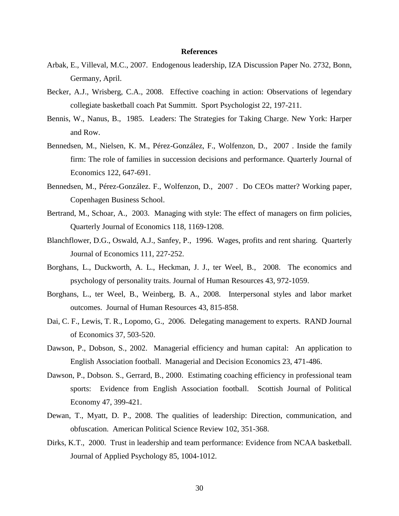#### **References**

- Arbak, E., Villeval, M.C., 2007. Endogenous leadership, IZA Discussion Paper No. 2732, Bonn, Germany, April.
- Becker, A.J., Wrisberg, C.A., 2008. Effective coaching in action: Observations of legendary collegiate basketball coach Pat Summitt. Sport Psychologist 22, 197-211.
- Bennis, W., Nanus, B., 1985. Leaders: The Strategies for Taking Charge. New York: Harper and Row.
- Bennedsen, M., Nielsen, K. M., Pérez-González, F., Wolfenzon, D., 2007 . Inside the family firm: The role of families in succession decisions and performance. Quarterly Journal of Economics 122, 647-691.
- Bennedsen, M., Pérez-González. F., Wolfenzon, D., 2007 . Do CEOs matter? Working paper, Copenhagen Business School.
- Bertrand, M., Schoar, A., 2003. Managing with style: The effect of managers on firm policies, Quarterly Journal of Economics 118, 1169-1208.
- Blanchflower, D.G., Oswald, A.J., Sanfey, P., 1996. Wages, profits and rent sharing. Quarterly Journal of Economics 111, 227-252.
- Borghans, L., Duckworth, A. L., Heckman, J. J., ter Weel, B., 2008. The economics and psychology of personality traits. Journal of Human Resources 43, 972-1059.
- Borghans, L., ter Weel, B., Weinberg, B. A., 2008. Interpersonal styles and labor market outcomes. Journal of Human Resources 43, 815-858.
- Dai, C. F., Lewis, T. R., Lopomo, G., 2006. Delegating management to experts. RAND Journal of Economics 37, 503-520.
- Dawson, P., Dobson, S., 2002. Managerial efficiency and human capital: An application to English Association football. Managerial and Decision Economics 23, 471-486.
- Dawson, P., Dobson. S., Gerrard, B., 2000. Estimating coaching efficiency in professional team sports: Evidence from English Association football. Scottish Journal of Political Economy 47, 399-421.
- Dewan, T., Myatt, D. P., 2008. The qualities of leadership: Direction, communication, and obfuscation. American Political Science Review 102, 351-368.
- Dirks, K.T., 2000. Trust in leadership and team performance: Evidence from NCAA basketball. Journal of Applied Psychology 85, 1004-1012.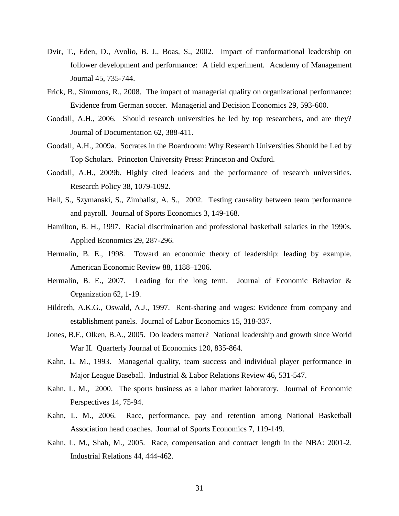- Dvir, T., Eden, D., Avolio, B. J., Boas, S., 2002. Impact of tranformational leadership on follower development and performance: A field experiment. Academy of Management Journal 45, 735-744.
- Frick, B., Simmons, R., 2008. The impact of managerial quality on organizational performance: Evidence from German soccer. Managerial and Decision Economics 29, 593-600.
- Goodall, A.H., 2006. Should research universities be led by top researchers, and are they? Journal of Documentation 62, 388-411.
- Goodall, A.H., 2009a. Socrates in the Boardroom: Why Research Universities Should be Led by Top Scholars. Princeton University Press: Princeton and Oxford.
- Goodall, A.H., 2009b. Highly cited leaders and the performance of research universities. Research Policy 38, 1079-1092.
- Hall, S., Szymanski, S., Zimbalist, A. S., 2002. Testing causality between team performance and payroll. Journal of Sports Economics 3, 149-168.
- Hamilton, B. H., 1997. Racial discrimination and professional basketball salaries in the 1990s. Applied Economics 29, 287-296.
- Hermalin, B. E., 1998. Toward an economic theory of leadership: leading by example. American Economic Review 88, 1188–1206.
- Hermalin, B. E., 2007. Leading for the long term. Journal of Economic Behavior & Organization 62, 1-19.
- Hildreth, A.K.G., Oswald, A.J., 1997. Rent-sharing and wages: Evidence from company and establishment panels. Journal of Labor Economics 15, 318-337.
- Jones, B.F., Olken, B.A., 2005. Do leaders matter? National leadership and growth since World War II. Quarterly Journal of Economics 120, 835-864.
- Kahn, L. M., 1993. Managerial quality, team success and individual player performance in Major League Baseball. Industrial & Labor Relations Review 46, 531-547.
- Kahn, L. M., 2000. The sports business as a labor market laboratory. Journal of Economic Perspectives 14, 75-94.
- Kahn, L. M., 2006. Race, performance, pay and retention among National Basketball Association head coaches. Journal of Sports Economics 7, 119-149.
- Kahn, L. M., Shah, M., 2005. Race, compensation and contract length in the NBA: 2001-2. Industrial Relations 44, 444-462.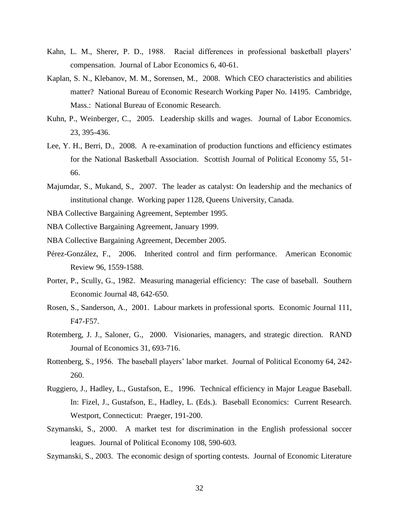- Kahn, L. M., Sherer, P. D., 1988. Racial differences in professional basketball players' compensation. Journal of Labor Economics 6, 40-61.
- Kaplan, S. N., Klebanov, M. M., Sorensen, M., 2008. Which CEO characteristics and abilities matter? National Bureau of Economic Research Working Paper No. 14195. Cambridge, Mass.: National Bureau of Economic Research.
- Kuhn, P., Weinberger, C., 2005. Leadership skills and wages. Journal of Labor Economics. 23, 395-436.
- Lee, Y. H., Berri, D., 2008. A re-examination of production functions and efficiency estimates for the National Basketball Association. Scottish Journal of Political Economy 55, 51- 66.
- Majumdar, S., Mukand, S., 2007. The leader as catalyst: On leadership and the mechanics of institutional change. Working paper 1128, Queens University, Canada.
- NBA Collective Bargaining Agreement, September 1995.

NBA Collective Bargaining Agreement, January 1999.

- NBA Collective Bargaining Agreement, December 2005.
- Pérez-González, F., 2006. Inherited control and firm performance. American Economic Review 96, 1559-1588.
- Porter, P., Scully, G., 1982. Measuring managerial efficiency: The case of baseball. Southern Economic Journal 48, 642-650.
- Rosen, S., Sanderson, A., 2001. Labour markets in professional sports. Economic Journal 111, F47-F57.
- Rotemberg, J. J., Saloner, G., 2000. Visionaries, managers, and strategic direction. RAND Journal of Economics 31, 693-716.
- Rottenberg, S., 1956. The baseball players" labor market. Journal of Political Economy 64, 242- 260.
- Ruggiero, J., Hadley, L., Gustafson, E., 1996. Technical efficiency in Major League Baseball. In: Fizel, J., Gustafson, E., Hadley, L. (Eds.). Baseball Economics: Current Research. Westport, Connecticut: Praeger, 191-200.
- Szymanski, S., 2000. A market test for discrimination in the English professional soccer leagues. Journal of Political Economy 108, 590-603.
- Szymanski, S., 2003. The economic design of sporting contests. Journal of Economic Literature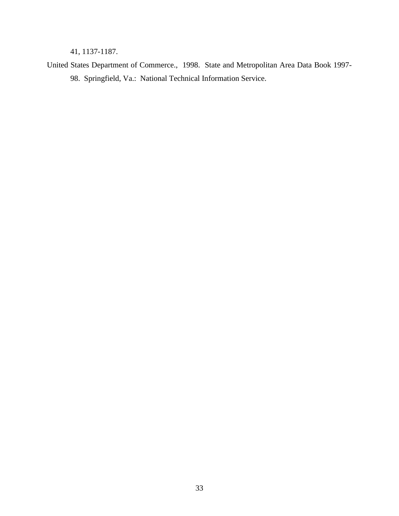41, 1137-1187.

United States Department of Commerce., 1998. State and Metropolitan Area Data Book 1997- 98. Springfield, Va.: National Technical Information Service.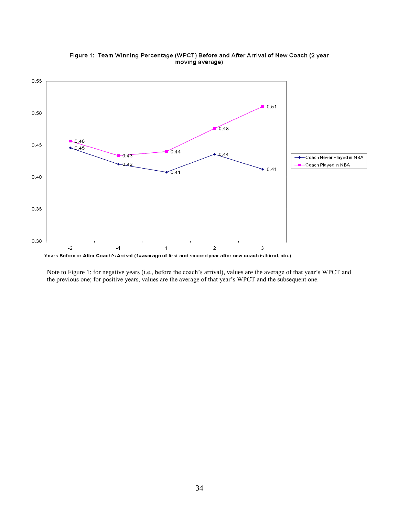

#### Figure 1: Team Winning Percentage (WPCT) Before and After Arrival of New Coach (2 year moving average)

Note to Figure 1: for negative years (i.e., before the coach's arrival), values are the average of that year's WPCT and the previous one; for positive years, values are the average of that year"s WPCT and the subsequent one.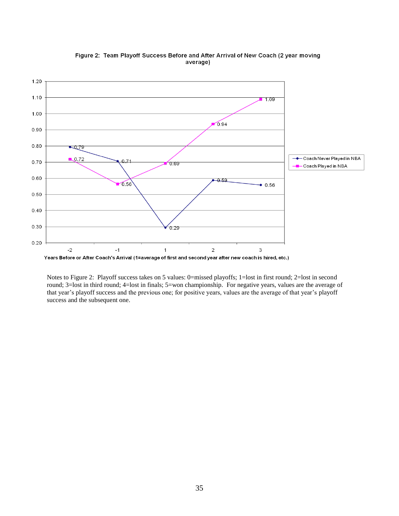

Figure 2: Team Playoff Success Before and After Arrival of New Coach (2 year moving average)

Notes to Figure 2: Playoff success takes on 5 values: 0=missed playoffs; 1=lost in first round; 2=lost in second round; 3=lost in third round; 4=lost in finals; 5=won championship. For negative years, values are the average of that year's playoff success and the previous one; for positive years, values are the average of that year's playoff success and the subsequent one.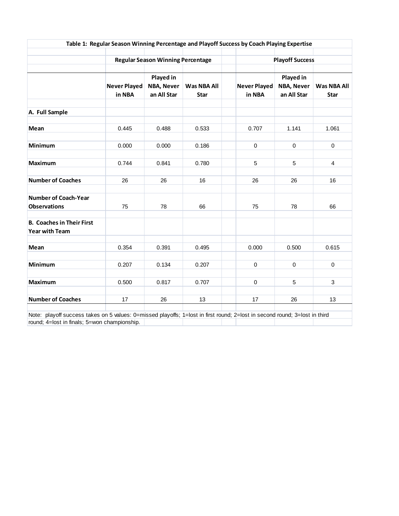|                                                                                                                                                                            |                               |                                               |                            | Table 1: Regular Season Winning Percentage and Playoff Success by Coach Playing Expertise |                                               |                            |
|----------------------------------------------------------------------------------------------------------------------------------------------------------------------------|-------------------------------|-----------------------------------------------|----------------------------|-------------------------------------------------------------------------------------------|-----------------------------------------------|----------------------------|
|                                                                                                                                                                            |                               | <b>Regular Season Winning Percentage</b>      |                            |                                                                                           | <b>Playoff Success</b>                        |                            |
|                                                                                                                                                                            |                               |                                               |                            |                                                                                           |                                               |                            |
|                                                                                                                                                                            | <b>Never Played</b><br>in NBA | Played in<br><b>NBA, Never</b><br>an All Star | Was NBA All<br><b>Star</b> | <b>Never Played</b><br>in NBA                                                             | Played in<br><b>NBA, Never</b><br>an All Star | Was NBA All<br><b>Star</b> |
| A. Full Sample                                                                                                                                                             |                               |                                               |                            |                                                                                           |                                               |                            |
| Mean                                                                                                                                                                       | 0.445                         | 0.488                                         | 0.533                      | 0.707                                                                                     | 1.141                                         | 1.061                      |
| <b>Minimum</b>                                                                                                                                                             | 0.000                         | 0.000                                         | 0.186                      | 0                                                                                         | $\mathbf 0$                                   | $\pmb{0}$                  |
| Maximum                                                                                                                                                                    | 0.744                         | 0.841                                         | 0.780                      | 5                                                                                         | 5                                             | 4                          |
| <b>Number of Coaches</b>                                                                                                                                                   | 26                            | 26                                            | 16                         | 26                                                                                        | 26                                            | 16                         |
| <b>Number of Coach-Year</b><br><b>Observations</b>                                                                                                                         | 75                            | 78                                            | 66                         | 75                                                                                        | 78                                            | 66                         |
| <b>B. Coaches in Their First</b><br><b>Year with Team</b>                                                                                                                  |                               |                                               |                            |                                                                                           |                                               |                            |
| Mean                                                                                                                                                                       | 0.354                         | 0.391                                         | 0.495                      | 0.000                                                                                     | 0.500                                         | 0.615                      |
| <b>Minimum</b>                                                                                                                                                             | 0.207                         | 0.134                                         | 0.207                      | $\Omega$                                                                                  | $\Omega$                                      | $\mathbf 0$                |
| Maximum                                                                                                                                                                    | 0.500                         | 0.817                                         | 0.707                      | 0                                                                                         | 5                                             | 3                          |
| <b>Number of Coaches</b>                                                                                                                                                   | 17                            | 26                                            | 13                         | 17                                                                                        | 26                                            | 13                         |
| Note: playoff success takes on 5 values: 0=missed playoffs; 1=lost in first round; 2=lost in second round; 3=lost in third<br>round; 4=lost in finals; 5=won championship. |                               |                                               |                            |                                                                                           |                                               |                            |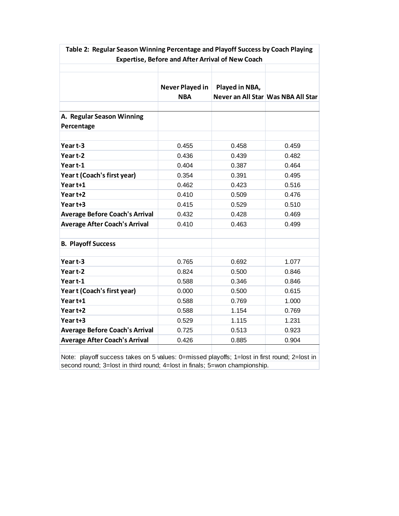| Table 2: Regular Season Winning Percentage and Playoff Success by Coach Playing |                                                         |                |                                    |
|---------------------------------------------------------------------------------|---------------------------------------------------------|----------------|------------------------------------|
|                                                                                 | <b>Expertise, Before and After Arrival of New Coach</b> |                |                                    |
|                                                                                 |                                                         |                |                                    |
|                                                                                 | Never Played in                                         | Played in NBA, |                                    |
|                                                                                 | <b>NBA</b>                                              |                | Never an All Star Was NBA All Star |
|                                                                                 |                                                         |                |                                    |
| A. Regular Season Winning                                                       |                                                         |                |                                    |
| Percentage                                                                      |                                                         |                |                                    |
|                                                                                 |                                                         |                |                                    |
| Year t-3                                                                        | 0.455                                                   | 0.458          | 0.459                              |
| Year t-2                                                                        | 0.436                                                   | 0.439          | 0.482                              |
| Year t-1                                                                        | 0.404                                                   | 0.387          | 0.464                              |
| Year t (Coach's first year)                                                     | 0.354                                                   | 0.391          | 0.495                              |
| Year <sub>t+1</sub>                                                             | 0.462                                                   | 0.423          | 0.516                              |
| Year t+2                                                                        | 0.410                                                   | 0.509          | 0.476                              |
| Year t+3                                                                        | 0.415                                                   | 0.529          | 0.510                              |
| <b>Average Before Coach's Arrival</b>                                           | 0.432                                                   | 0.428          | 0.469                              |
| <b>Average After Coach's Arrival</b>                                            | 0.410                                                   | 0.463          | 0.499                              |
|                                                                                 |                                                         |                |                                    |
| <b>B. Playoff Success</b>                                                       |                                                         |                |                                    |
|                                                                                 |                                                         |                |                                    |
| Year t-3                                                                        | 0.765                                                   | 0.692          | 1.077                              |
| Year t-2                                                                        | 0.824                                                   | 0.500          | 0.846                              |
| Year t-1                                                                        | 0.588                                                   | 0.346          | 0.846                              |
| Yeart (Coach's first year)                                                      | 0.000                                                   | 0.500          | 0.615                              |
| Year t+1                                                                        | 0.588                                                   | 0.769          | 1.000                              |
| Year t+2                                                                        | 0.588                                                   | 1.154          | 0.769                              |
| Year t+3                                                                        | 0.529                                                   | 1.115          | 1.231                              |
| <b>Average Before Coach's Arrival</b>                                           | 0.725                                                   | 0.513          | 0.923                              |
| <b>Average After Coach's Arrival</b>                                            | 0.426                                                   | 0.885          | 0.904                              |
|                                                                                 |                                                         |                |                                    |

Note: playoff success takes on 5 values: 0=missed playoffs; 1=lost in first round; 2=lost in second round; 3=lost in third round; 4=lost in finals; 5=won championship.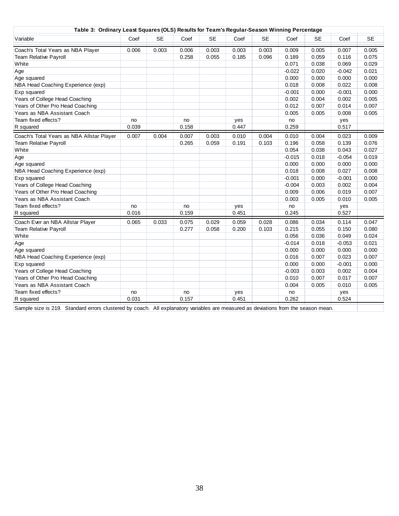| Table 3: Ordinary Least Squares (OLS) Results for Team's Regular-Season Winning Percentage |       |           |       |           |       |           |          |       |          |           |
|--------------------------------------------------------------------------------------------|-------|-----------|-------|-----------|-------|-----------|----------|-------|----------|-----------|
| Variable                                                                                   | Coef  | <b>SE</b> | Coef  | <b>SE</b> | Coef  | <b>SE</b> | Coef     | SE    | Coef     | <b>SE</b> |
| Coach's Total Years as NBA Player                                                          | 0.006 | 0.003     | 0.006 | 0.003     | 0.003 | 0.003     | 0.009    | 0.005 | 0.007    | 0.005     |
| <b>Team Relative Payroll</b>                                                               |       |           | 0.258 | 0.055     | 0.185 | 0.096     | 0.189    | 0.059 | 0.116    | 0.075     |
| White                                                                                      |       |           |       |           |       |           | 0.071    | 0.038 | 0.069    | 0.029     |
| Age                                                                                        |       |           |       |           |       |           | $-0.022$ | 0.020 | $-0.042$ | 0.021     |
| Age squared                                                                                |       |           |       |           |       |           | 0.000    | 0.000 | 0.000    | 0.000     |
| NBA Head Coaching Experience (exp)                                                         |       |           |       |           |       |           | 0.018    | 0.008 | 0.022    | 0.008     |
| Exp squared                                                                                |       |           |       |           |       |           | $-0.001$ | 0.000 | $-0.001$ | 0.000     |
| Years of College Head Coaching                                                             |       |           |       |           |       |           | 0.002    | 0.004 | 0.002    | 0.005     |
| Years of Other Pro Head Coaching                                                           |       |           |       |           |       |           | 0.012    | 0.007 | 0.014    | 0.007     |
| Years as NBA Assistant Coach                                                               |       |           |       |           |       |           | 0.005    | 0.005 | 0.008    | 0.005     |
| Team fixed effects?                                                                        | no    |           | no    |           | yes   |           | no       |       | yes      |           |
| R squared                                                                                  | 0.039 |           | 0.158 |           | 0.447 |           | 0.259    |       | 0.517    |           |
| Coach's Total Years as NBA Allstar Player                                                  | 0.007 | 0.004     | 0.007 | 0.003     | 0.010 | 0.004     | 0.010    | 0.004 | 0.023    | 0.009     |
| Team Relative Payroll                                                                      |       |           | 0.265 | 0.059     | 0.191 | 0.103     | 0.196    | 0.058 | 0.139    | 0.076     |
| White                                                                                      |       |           |       |           |       |           | 0.054    | 0.038 | 0.043    | 0.027     |
| Age                                                                                        |       |           |       |           |       |           | $-0.015$ | 0.018 | $-0.054$ | 0.019     |
| Age squared                                                                                |       |           |       |           |       |           | 0.000    | 0.000 | 0.000    | 0.000     |
| NBA Head Coaching Experience (exp)                                                         |       |           |       |           |       |           | 0.018    | 0.008 | 0.027    | 0.008     |
| Exp squared                                                                                |       |           |       |           |       |           | $-0.001$ | 0.000 | $-0.001$ | 0.000     |
| Years of College Head Coaching                                                             |       |           |       |           |       |           | $-0.004$ | 0.003 | 0.002    | 0.004     |
| Years of Other Pro Head Coaching                                                           |       |           |       |           |       |           | 0.009    | 0.006 | 0.019    | 0.007     |
| Years as NBA Assistant Coach                                                               |       |           |       |           |       |           | 0.003    | 0.005 | 0.010    | 0.005     |
| Team fixed effects?                                                                        | no    |           | no    |           | yes   |           | no       |       | yes      |           |
| R squared                                                                                  | 0.016 |           | 0.159 |           | 0.451 |           | 0.245    |       | 0.527    |           |
| Coach Ever an NBA Allstar Player                                                           | 0.065 | 0.033     | 0.075 | 0.029     | 0.059 | 0.028     | 0.086    | 0.034 | 0.114    | 0.047     |
| <b>Team Relative Payroll</b>                                                               |       |           | 0.277 | 0.058     | 0.200 | 0.103     | 0.215    | 0.055 | 0.150    | 0.080     |
| White                                                                                      |       |           |       |           |       |           | 0.056    | 0.036 | 0.049    | 0.024     |
| Age                                                                                        |       |           |       |           |       |           | $-0.014$ | 0.018 | $-0.053$ | 0.021     |
| Age squared                                                                                |       |           |       |           |       |           | 0.000    | 0.000 | 0.000    | 0.000     |
| NBA Head Coaching Experience (exp)                                                         |       |           |       |           |       |           | 0.016    | 0.007 | 0.023    | 0.007     |
| Exp squared                                                                                |       |           |       |           |       |           | 0.000    | 0.000 | $-0.001$ | 0.000     |
| Years of College Head Coaching                                                             |       |           |       |           |       |           | $-0.003$ | 0.003 | 0.002    | 0.004     |
| Years of Other Pro Head Coaching                                                           |       |           |       |           |       |           | 0.010    | 0.007 | 0.017    | 0.007     |
| Years as NBA Assistant Coach                                                               |       |           |       |           |       |           | 0.004    | 0.005 | 0.010    | 0.005     |
| Team fixed effects?                                                                        | no    |           | no    |           | yes   |           | no       |       | yes      |           |
| R squared                                                                                  | 0.031 |           | 0.157 |           | 0.451 |           | 0.262    |       | 0.524    |           |

Sample size is 219. Standard errors clustered by coach. All explanatory variables are measured as deviations from the season mean.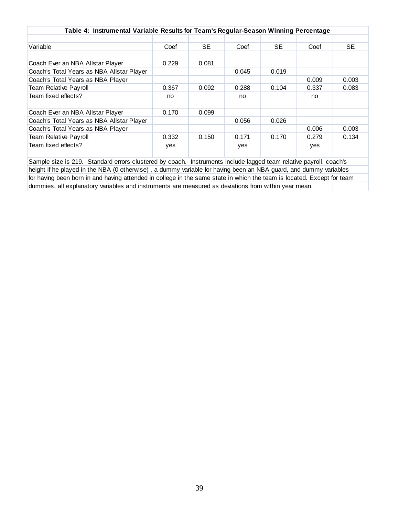| Table 4: Instrumental Variable Results for Team's Regular-Season Winning Percentage |       |       |       |       |       |       |
|-------------------------------------------------------------------------------------|-------|-------|-------|-------|-------|-------|
|                                                                                     |       |       |       |       |       |       |
| Variable                                                                            | Coef  | SE.   | Coef  | SE.   | Coef  | SE.   |
| Coach Ever an NBA Allstar Player                                                    | 0.229 | 0.081 |       |       |       |       |
| Coach's Total Years as NBA Allstar Player                                           |       |       | 0.045 | 0.019 |       |       |
| Coach's Total Years as NBA Player                                                   |       |       |       |       | 0.009 | 0.003 |
| <b>Team Relative Payroll</b>                                                        | 0.367 | 0.092 | 0.288 | 0.104 | 0.337 | 0.083 |
| Team fixed effects?                                                                 | no.   |       | no    |       | no    |       |
|                                                                                     |       |       |       |       |       |       |
| Coach Ever an NBA Allstar Player                                                    | 0.170 | 0.099 |       |       |       |       |
| Coach's Total Years as NBA Allstar Player                                           |       |       | 0.056 | 0.026 |       |       |
| Coach's Total Years as NBA Player                                                   |       |       |       |       | 0.006 | 0.003 |
| <b>Team Relative Payroll</b>                                                        | 0.332 | 0.150 | 0.171 | 0.170 | 0.279 | 0.134 |
| Team fixed effects?                                                                 | yes   |       | yes   |       | yes   |       |

Sample size is 219. Standard errors clustered by coach. Instruments include lagged team relative payroll, coach's height if he played in the NBA (0 otherwise) , a dummy variable for having been an NBA guard, and dummy variables for having been born in and having attended in college in the same state in which the team is located. Except for team dummies, all explanatory variables and instruments are measured as deviations from within year mean.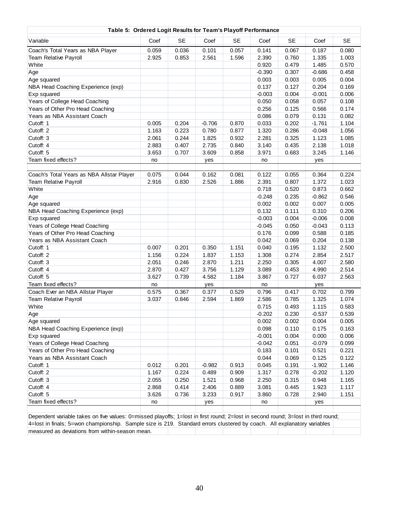| Table 5: Ordered Logit Results for Team's Playoff Performance                                                                     |       |           |          |           |          |           |          |           |
|-----------------------------------------------------------------------------------------------------------------------------------|-------|-----------|----------|-----------|----------|-----------|----------|-----------|
| Variable                                                                                                                          | Coef  | <b>SE</b> | Coef     | <b>SE</b> | Coef     | <b>SE</b> | Coef     | <b>SE</b> |
| Coach's Total Years as NBA Player                                                                                                 | 0.059 | 0.036     | 0.101    | 0.057     | 0.141    | 0.067     | 0.187    | 0.080     |
| Team Relative Payroll                                                                                                             | 2.925 | 0.853     | 2.561    | 1.596     | 2.390    | 0.760     | 1.335    | 1.003     |
| White                                                                                                                             |       |           |          |           | 0.920    | 0.479     | 1.485    | 0.570     |
| Age                                                                                                                               |       |           |          |           | $-0.390$ | 0.307     | $-0.686$ | 0.458     |
| Age squared                                                                                                                       |       |           |          |           | 0.003    | 0.003     | 0.005    | 0.004     |
| NBA Head Coaching Experience (exp)                                                                                                |       |           |          |           | 0.137    | 0.127     | 0.204    | 0.169     |
| Exp squared                                                                                                                       |       |           |          |           | $-0.003$ | 0.004     | $-0.001$ | 0.006     |
| Years of College Head Coaching                                                                                                    |       |           |          |           | 0.050    | 0.058     | 0.057    | 0.108     |
| Years of Other Pro Head Coaching                                                                                                  |       |           |          |           | 0.256    | 0.125     | 0.566    | 0.174     |
| Years as NBA Assistant Coach                                                                                                      |       |           |          |           | 0.086    | 0.079     | 0.131    | 0.082     |
| Cutoff: 1                                                                                                                         | 0.005 | 0.204     | $-0.706$ | 0.870     | 0.033    | 0.202     | $-1.761$ | 1.104     |
| Cutoff: 2                                                                                                                         | 1.163 | 0.223     | 0.780    | 0.877     | 1.320    | 0.286     | $-0.048$ | 1.056     |
| Cutoff: 3                                                                                                                         | 2.061 | 0.244     | 1.825    | 0.932     | 2.281    | 0.325     | 1.123    | 1.085     |
| Cutoff: 4                                                                                                                         | 2.883 | 0.407     | 2.735    | 0.840     | 3.140    | 0.435     | 2.138    | 1.018     |
| Cutoff: 5                                                                                                                         | 3.653 | 0.707     | 3.609    | 0.858     | 3.971    | 0.683     | 3.245    | 1.146     |
| Team fixed effects?                                                                                                               | no    |           | yes      |           | no       |           | yes      |           |
|                                                                                                                                   |       |           |          |           |          |           |          |           |
| Coach's Total Years as NBA Allstar Player                                                                                         | 0.075 | 0.044     | 0.162    | 0.081     | 0.122    | 0.055     | 0.364    | 0.224     |
| <b>Team Relative Payroll</b>                                                                                                      | 2.916 | 0.830     | 2.526    | 1.886     | 2.391    | 0.807     | 1.372    | 1.023     |
| White                                                                                                                             |       |           |          |           | 0.718    | 0.520     | 0.873    | 0.662     |
| Age                                                                                                                               |       |           |          |           | $-0.248$ | 0.235     | $-0.862$ | 0.546     |
| Age squared                                                                                                                       |       |           |          |           | 0.002    | 0.002     | 0.007    | 0.005     |
| NBA Head Coaching Experience (exp)                                                                                                |       |           |          |           | 0.132    | 0.111     | 0.310    | 0.206     |
| Exp squared                                                                                                                       |       |           |          |           | $-0.003$ | 0.004     | $-0.006$ | 0.008     |
| Years of College Head Coaching                                                                                                    |       |           |          |           | $-0.045$ | 0.050     | $-0.043$ | 0.113     |
| Years of Other Pro Head Coaching                                                                                                  |       |           |          |           | 0.176    | 0.099     | 0.588    | 0.185     |
| Years as NBA Assistant Coach                                                                                                      |       |           |          |           | 0.042    | 0.069     | 0.204    | 0.138     |
| Cutoff: 1                                                                                                                         | 0.007 | 0.201     | 0.350    | 1.151     | 0.040    | 0.195     | 1.132    | 2.500     |
| Cutoff: 2                                                                                                                         | 1.156 | 0.224     | 1.837    | 1.153     | 1.308    | 0.274     | 2.854    | 2.517     |
| Cutoff: 3                                                                                                                         | 2.051 | 0.246     | 2.870    | 1.211     | 2.250    | 0.305     | 4.007    | 2.580     |
| Cutoff: 4                                                                                                                         | 2.870 | 0.427     | 3.756    | 1.129     | 3.089    | 0.453     | 4.990    | 2.514     |
| Cutoff: 5                                                                                                                         | 3.627 | 0.739     | 4.582    | 1.184     | 3.867    | 0.727     | 6.037    | 2.563     |
| Team fixed effects?                                                                                                               | no    |           | yes      |           | no       |           | yes      |           |
| Coach Ever an NBA Allstar Player                                                                                                  | 0.575 | 0.367     | 0.377    | 0.529     | 0.796    | 0.417     | 0.702    | 0.799     |
| Team Relative Payroll                                                                                                             | 3.037 | 0.846     | 2.594    | 1.869     | 2.586    | 0.785     | 1.325    | 1.074     |
| White                                                                                                                             |       |           |          |           | 0.715    | 0.493     | 1.115    | 0.583     |
| Age                                                                                                                               |       |           |          |           | $-0.202$ | 0.230     | $-0.537$ | 0.539     |
| Age squared                                                                                                                       |       |           |          |           | 0.002    | 0.002     | 0.004    | 0.005     |
| NBA Head Coaching Experience (exp)                                                                                                |       |           |          |           | 0.098    | 0.110     | 0.175    | 0.163     |
| Exp squared                                                                                                                       |       |           |          |           | $-0.001$ | 0.004     | 0.000    | 0.006     |
| Years of College Head Coaching                                                                                                    |       |           |          |           | $-0.042$ | 0.051     | $-0.079$ | 0.099     |
| Years of Other Pro Head Coaching                                                                                                  |       |           |          |           | 0.183    | 0.101     | 0.521    | 0.221     |
| Years as NBA Assistant Coach                                                                                                      |       |           |          |           | 0.044    | 0.069     | 0.125    | 0.122     |
| Cutoff: 1                                                                                                                         | 0.012 | 0.201     | $-0.982$ | 0.913     | 0.045    | 0.191     | $-1.902$ | 1.146     |
| Cutoff: 2                                                                                                                         | 1.167 | 0.224     | 0.489    | 0.909     | 1.317    | 0.278     | $-0.202$ | 1.120     |
| Cutoff: 3                                                                                                                         | 2.055 | 0.250     | 1.521    | 0.968     | 2.250    | 0.315     | 0.948    | 1.165     |
| Cutoff: 4                                                                                                                         | 2.868 | 0.414     | 2.406    | 0.889     | 3.081    | 0.445     | 1.923    | 1.117     |
| Cutoff: 5                                                                                                                         | 3.626 | 0.736     | 3.233    | 0.917     | 3.860    | 0.728     | 2.940    | 1.151     |
| Team fixed effects?                                                                                                               | no    |           | yes      |           | no       |           | yes      |           |
|                                                                                                                                   |       |           |          |           |          |           |          |           |
| Dependent variable takes on five values: 0=missed playoffs; 1=lost in first round; 2=lost in second round; 3=lost in third round; |       |           |          |           |          |           |          |           |
| 4=lost in finals; 5=won championship. Sample size is 219. Standard errors clustered by coach. All explanatory variables           |       |           |          |           |          |           |          |           |
| measured as deviations from within-season mean.                                                                                   |       |           |          |           |          |           |          |           |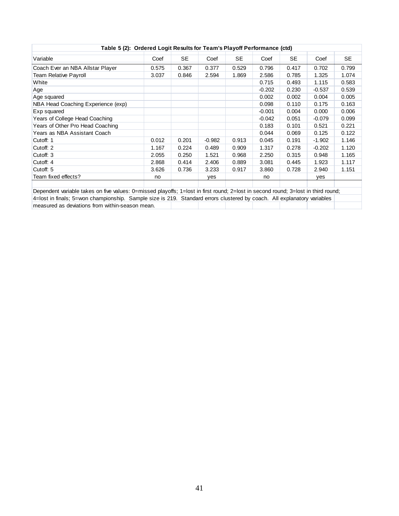| Table 5 (2): Ordered Logit Results for Team's Playoff Performance (ctd) |       |           |          |           |          |           |          |           |
|-------------------------------------------------------------------------|-------|-----------|----------|-----------|----------|-----------|----------|-----------|
| Variable                                                                | Coef  | <b>SE</b> | Coef     | <b>SE</b> | Coef     | <b>SE</b> | Coef     | <b>SE</b> |
| Coach Ever an NBA Allstar Player                                        | 0.575 | 0.367     | 0.377    | 0.529     | 0.796    | 0.417     | 0.702    | 0.799     |
| <b>Team Relative Payroll</b>                                            | 3.037 | 0.846     | 2.594    | 1.869     | 2.586    | 0.785     | 1.325    | 1.074     |
| White                                                                   |       |           |          |           | 0.715    | 0.493     | 1.115    | 0.583     |
| Age                                                                     |       |           |          |           | $-0.202$ | 0.230     | $-0.537$ | 0.539     |
| Age squared                                                             |       |           |          |           | 0.002    | 0.002     | 0.004    | 0.005     |
| NBA Head Coaching Experience (exp)                                      |       |           |          |           | 0.098    | 0.110     | 0.175    | 0.163     |
| Exp squared                                                             |       |           |          |           | $-0.001$ | 0.004     | 0.000    | 0.006     |
| Years of College Head Coaching                                          |       |           |          |           | $-0.042$ | 0.051     | $-0.079$ | 0.099     |
| Years of Other Pro Head Coaching                                        |       |           |          |           | 0.183    | 0.101     | 0.521    | 0.221     |
| Years as NBA Assistant Coach                                            |       |           |          |           | 0.044    | 0.069     | 0.125    | 0.122     |
| Cutoff: 1                                                               | 0.012 | 0.201     | $-0.982$ | 0.913     | 0.045    | 0.191     | $-1.902$ | 1.146     |
| Cutoff: 2                                                               | 1.167 | 0.224     | 0.489    | 0.909     | 1.317    | 0.278     | $-0.202$ | 1.120     |
| Cutoff: 3                                                               | 2.055 | 0.250     | 1.521    | 0.968     | 2.250    | 0.315     | 0.948    | 1.165     |
| Cutoff: 4                                                               | 2.868 | 0.414     | 2.406    | 0.889     | 3.081    | 0.445     | 1.923    | 1.117     |
| Cutoff: 5                                                               | 3.626 | 0.736     | 3.233    | 0.917     | 3.860    | 0.728     | 2.940    | 1.151     |
| Team fixed effects?                                                     | no    |           | yes      |           | no       |           | ves      |           |

measured as deviations from within-season mean.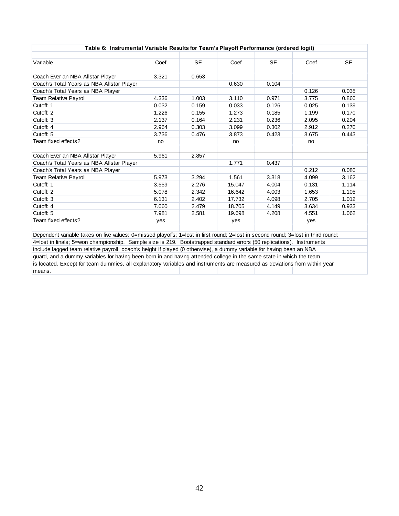| Table 6: Instrumental Variable Results for Team's Playoff Performance (ordered logit)                                             |       |           |        |           |       |           |
|-----------------------------------------------------------------------------------------------------------------------------------|-------|-----------|--------|-----------|-------|-----------|
| Variable                                                                                                                          | Coef  | <b>SE</b> | Coef   | <b>SE</b> | Coef  | <b>SE</b> |
| Coach Ever an NBA Allstar Player                                                                                                  | 3.321 | 0.653     |        |           |       |           |
| Coach's Total Years as NBA Allstar Player                                                                                         |       |           | 0.630  | 0.104     |       |           |
| Coach's Total Years as NBA Player                                                                                                 |       |           |        |           | 0.126 | 0.035     |
| <b>Team Relative Payroll</b>                                                                                                      | 4.336 | 1.003     | 3.110  | 0.971     | 3.775 | 0.860     |
| Cutoff: 1                                                                                                                         | 0.032 | 0.159     | 0.033  | 0.126     | 0.025 | 0.139     |
| Cutoff: 2                                                                                                                         | 1.226 | 0.155     | 1.273  | 0.185     | 1.199 | 0.170     |
| Cutoff: 3                                                                                                                         | 2.137 | 0.164     | 2.231  | 0.236     | 2.095 | 0.204     |
| Cutoff: 4                                                                                                                         | 2.964 | 0.303     | 3.099  | 0.302     | 2.912 | 0.270     |
| Cutoff: 5                                                                                                                         | 3.736 | 0.476     | 3.873  | 0.423     | 3.675 | 0.443     |
| Team fixed effects?                                                                                                               | no    |           | no     |           | no    |           |
|                                                                                                                                   |       |           |        |           |       |           |
| Coach Ever an NBA Allstar Player                                                                                                  | 5.961 | 2.857     |        |           |       |           |
| Coach's Total Years as NBA Allstar Player                                                                                         |       |           | 1.771  | 0.437     |       |           |
| Coach's Total Years as NBA Player                                                                                                 |       |           |        |           | 0.212 | 0.080     |
| <b>Team Relative Payroll</b>                                                                                                      | 5.973 | 3.294     | 1.561  | 3.318     | 4.099 | 3.162     |
| Cutoff: 1                                                                                                                         | 3.559 | 2.276     | 15.047 | 4.004     | 0.131 | 1.114     |
| Cutoff: 2                                                                                                                         | 5.078 | 2.342     | 16.642 | 4.003     | 1.653 | 1.105     |
| Cutoff: 3                                                                                                                         | 6.131 | 2.402     | 17.732 | 4.098     | 2.705 | 1.012     |
| Cutoff: 4                                                                                                                         | 7.060 | 2.479     | 18.705 | 4.149     | 3.634 | 0.933     |
| Cutoff: 5                                                                                                                         | 7.981 | 2.581     | 19.698 | 4.208     | 4.551 | 1.062     |
| Team fixed effects?                                                                                                               | yes   |           | yes    |           | yes   |           |
|                                                                                                                                   |       |           |        |           |       |           |
| Dependent variable takes on five values: 0=missed playoffs; 1=lost in first round; 2=lost in second round; 3=lost in third round; |       |           |        |           |       |           |
| 4=lost in finals; 5=won championship. Sample size is 219. Bootstrapped standard errors (50 replications). Instruments             |       |           |        |           |       |           |
| include lagged team relative payroll, coach's height if played (0 otherwise), a dummy variable for having been an NBA             |       |           |        |           |       |           |
| guard, and a dummy variables for having been born in and having attended college in the same state in which the team              |       |           |        |           |       |           |
| is located. Except for team dummies, all explanatory variables and instruments are measured as deviations from within year        |       |           |        |           |       |           |
| means.                                                                                                                            |       |           |        |           |       |           |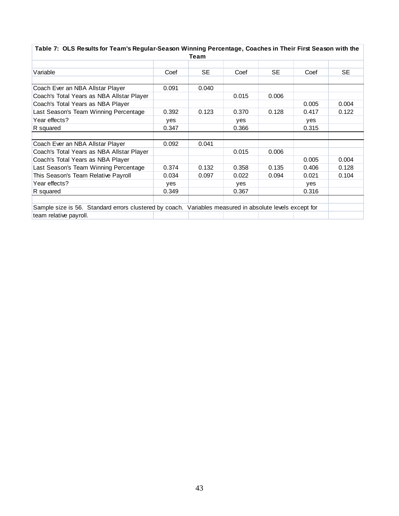### **Table 7: OLS Results for Team's Regular-Season Winning Percentage, Coaches in Their First Season with the**

| Table 7: OLS Results for Team's Regular-Season Winning Percentage, Coaches in Their First Season with the |       | Team      |       |           |       |           |
|-----------------------------------------------------------------------------------------------------------|-------|-----------|-------|-----------|-------|-----------|
|                                                                                                           |       |           |       |           |       |           |
| Variable                                                                                                  | Coef  | <b>SE</b> | Coef  | <b>SE</b> | Coef  | <b>SE</b> |
|                                                                                                           |       |           |       |           |       |           |
| Coach Ever an NBA Allstar Player                                                                          | 0.091 | 0.040     |       |           |       |           |
| Coach's Total Years as NBA Allstar Player                                                                 |       |           | 0.015 | 0.006     |       |           |
| Coach's Total Years as NBA Player                                                                         |       |           |       |           | 0.005 | 0.004     |
| Last Season's Team Winning Percentage                                                                     | 0.392 | 0.123     | 0.370 | 0.128     | 0.417 | 0.122     |
| Year effects?                                                                                             | ves   |           | ves   |           | ves   |           |
| R squared                                                                                                 | 0.347 |           | 0.366 |           | 0.315 |           |
|                                                                                                           |       |           |       |           |       |           |
| Coach Ever an NBA Allstar Player                                                                          | 0.092 | 0.041     |       |           |       |           |
| Coach's Total Years as NBA Allstar Player                                                                 |       |           | 0.015 | 0.006     |       |           |
| Coach's Total Years as NBA Player                                                                         |       |           |       |           | 0.005 | 0.004     |
| Last Season's Team Winning Percentage                                                                     | 0.374 | 0.132     | 0.358 | 0.135     | 0.406 | 0.128     |
| This Season's Team Relative Payroll                                                                       | 0.034 | 0.097     | 0.022 | 0.094     | 0.021 | 0.104     |
| Year effects?                                                                                             | yes   |           | yes   |           | yes   |           |
| R squared                                                                                                 | 0.349 |           | 0.367 |           | 0.316 |           |
|                                                                                                           |       |           |       |           |       |           |
| Sample size is 56. Standard errors clustered by coach. Variables measured in absolute levels except for   |       |           |       |           |       |           |
| team relative payroll.                                                                                    |       |           |       |           |       |           |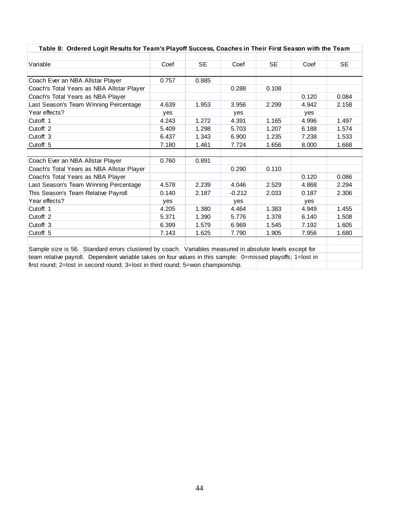| Table 8: Ordered Logit Results for Team's Playoff Success, Coaches in Their First Season with the Team      |       |           |          |           |       |           |
|-------------------------------------------------------------------------------------------------------------|-------|-----------|----------|-----------|-------|-----------|
| Variable                                                                                                    | Coef  | <b>SE</b> | Coef     | <b>SE</b> | Coef  | <b>SE</b> |
| Coach Ever an NBA Allstar Player                                                                            | 0.757 | 0.885     |          |           |       |           |
| Coach's Total Years as NBA Allstar Player                                                                   |       |           | 0.288    | 0.108     |       |           |
| Coach's Total Years as NBA Player                                                                           |       |           |          |           | 0.120 | 0.084     |
| Last Season's Team Winning Percentage                                                                       | 4.639 | 1.953     | 3.956    | 2.299     | 4.942 | 2.158     |
| Year effects?                                                                                               | yes   |           | yes      |           | yes   |           |
| Cutoff: 1                                                                                                   | 4.243 | 1.272     | 4.391    | 1.165     | 4.996 | 1.497     |
| Cutoff: 2                                                                                                   | 5.409 | 1.298     | 5.703    | 1.207     | 6.188 | 1.574     |
| Cutoff: 3                                                                                                   | 6.437 | 1.343     | 6.900    | 1.235     | 7.238 | 1.533     |
| Cutoff: 5                                                                                                   | 7.180 | 1.461     | 7.724    | 1.656     | 8.000 | 1.668     |
|                                                                                                             |       |           |          |           |       |           |
| Coach Ever an NBA Allstar Player                                                                            | 0.760 | 0.891     |          |           |       |           |
| Coach's Total Years as NBA Allstar Player                                                                   |       |           | 0.290    | 0.110     |       |           |
| Coach's Total Years as NBA Player                                                                           |       |           |          |           | 0.120 | 0.086     |
| Last Season's Team Winning Percentage                                                                       | 4.578 | 2.239     | 4.046    | 2.529     | 4.868 | 2.294     |
| This Season's Team Relative Payroll                                                                         | 0.140 | 2.187     | $-0.212$ | 2.033     | 0.187 | 2.306     |
| Year effects?                                                                                               | yes   |           | yes      |           | yes   |           |
| Cutoff: 1                                                                                                   | 4.205 | 1.380     | 4.464    | 1.383     | 4.949 | 1.455     |
| Cutoff: 2                                                                                                   | 5.371 | 1.390     | 5.776    | 1.378     | 6.140 | 1.508     |
| Cutoff: 3                                                                                                   | 6.399 | 1.579     | 6.969    | 1.545     | 7.192 | 1.605     |
| Cutoff: 5                                                                                                   | 7.143 | 1.625     | 7.790    | 1.905     | 7.956 | 1.680     |
|                                                                                                             |       |           |          |           |       |           |
| Sample size is 56. Standard errors clustered by coach. Variables measured in absolute levels except for     |       |           |          |           |       |           |
| team relative payroll. Dependent variable takes on four values in this sample: 0=missed playoffs; 1=lost in |       |           |          |           |       |           |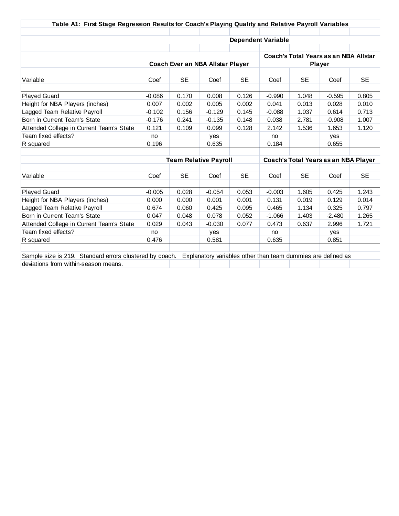| Table A1: First Stage Regression Results for Coach's Playing Quality and Relative Payroll Variables |          |           |                                  |           |                                                              |           |                                       |           |
|-----------------------------------------------------------------------------------------------------|----------|-----------|----------------------------------|-----------|--------------------------------------------------------------|-----------|---------------------------------------|-----------|
|                                                                                                     |          |           |                                  |           |                                                              |           |                                       |           |
|                                                                                                     |          |           |                                  |           | <b>Dependent Variable</b>                                    |           |                                       |           |
|                                                                                                     |          |           |                                  |           |                                                              |           |                                       |           |
|                                                                                                     |          |           |                                  |           |                                                              |           | Coach's Total Years as an NBA Allstar |           |
|                                                                                                     |          |           | Coach Ever an NBA Allstar Player |           |                                                              |           | Player                                |           |
|                                                                                                     |          |           |                                  |           |                                                              |           |                                       |           |
| Variable                                                                                            | Coef     | <b>SE</b> | Coef                             | <b>SE</b> | Coef                                                         | <b>SE</b> | Coef                                  | <b>SE</b> |
|                                                                                                     |          |           |                                  |           |                                                              |           |                                       |           |
| <b>Played Guard</b>                                                                                 | $-0.086$ | 0.170     | 0.008                            | 0.126     | $-0.990$                                                     | 1.048     | $-0.595$                              | 0.805     |
| Height for NBA Players (inches)                                                                     | 0.007    | 0.002     | 0.005                            | 0.002     | 0.041                                                        | 0.013     | 0.028                                 | 0.010     |
| Lagged Team Relative Payroll                                                                        | $-0.102$ | 0.156     | $-0.129$                         | 0.145     | $-0.088$                                                     | 1.037     | 0.614                                 | 0.713     |
| Born in Current Team's State                                                                        | $-0.176$ | 0.241     | $-0.135$                         | 0.148     | 0.038                                                        | 2.781     | $-0.908$                              | 1.007     |
| Attended College in Current Team's State                                                            | 0.121    | 0.109     | 0.099                            | 0.128     | 2.142                                                        | 1.536     | 1.653                                 | 1.120     |
| Team fixed effects?                                                                                 | no       |           | yes                              |           | no                                                           |           | yes                                   |           |
| R squared                                                                                           | 0.196    |           | 0.635                            |           | 0.184                                                        |           | 0.655                                 |           |
|                                                                                                     |          |           |                                  |           |                                                              |           |                                       |           |
|                                                                                                     |          |           | <b>Team Relative Payroll</b>     |           | Coach's Total Years as an NBA Player                         |           |                                       |           |
|                                                                                                     |          |           |                                  |           |                                                              |           |                                       |           |
| Variable                                                                                            | Coef     | <b>SE</b> | Coef                             | <b>SE</b> | Coef                                                         | <b>SE</b> | Coef                                  | <b>SE</b> |
|                                                                                                     |          |           |                                  |           |                                                              |           |                                       |           |
| <b>Played Guard</b>                                                                                 | $-0.005$ | 0.028     | $-0.054$                         | 0.053     | $-0.003$                                                     | 1.605     | 0.425                                 | 1.243     |
| Height for NBA Players (inches)                                                                     | 0.000    | 0.000     | 0.001                            | 0.001     | 0.131                                                        | 0.019     | 0.129                                 | 0.014     |
| Lagged Team Relative Payroll                                                                        | 0.674    | 0.060     | 0.425                            | 0.095     | 0.465                                                        | 1.134     | 0.325                                 | 0.797     |
| Born in Current Team's State                                                                        | 0.047    | 0.048     | 0.078                            | 0.052     | $-1.066$                                                     | 1.403     | $-2.480$                              | 1.265     |
| Attended College in Current Team's State                                                            | 0.029    | 0.043     | $-0.030$                         | 0.077     | 0.473                                                        | 0.637     | 2.996                                 | 1.721     |
| Team fixed effects?                                                                                 | no       |           | yes                              |           | no                                                           |           | yes                                   |           |
| R squared                                                                                           | 0.476    |           | 0.581                            |           | 0.635                                                        |           | 0.851                                 |           |
|                                                                                                     |          |           |                                  |           |                                                              |           |                                       |           |
| Sample size is 219. Standard errors clustered by coach.                                             |          |           |                                  |           | Explanatory variables other than team dummies are defined as |           |                                       |           |
| deviations from within-season means.                                                                |          |           |                                  |           |                                                              |           |                                       |           |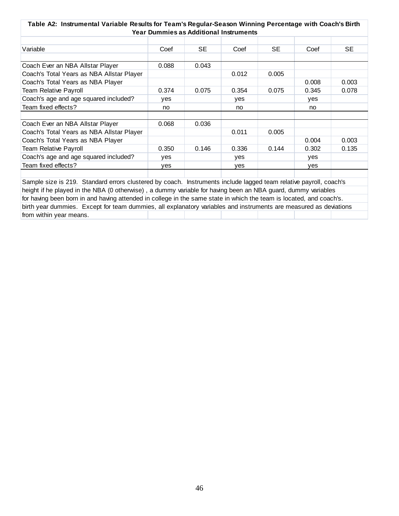| Table A2: Instrumental Variable Results for Team's Regular-Season Winning Percentage with Coach's Birth             |            | <b>Year Dummies as Additional Instruments</b> |            |           |            |           |
|---------------------------------------------------------------------------------------------------------------------|------------|-----------------------------------------------|------------|-----------|------------|-----------|
| Variable                                                                                                            | Coef       | <b>SE</b>                                     | Coef       | <b>SE</b> | Coef       | <b>SE</b> |
|                                                                                                                     |            |                                               |            |           |            |           |
| Coach Ever an NBA Allstar Player                                                                                    | 0.088      | 0.043                                         |            |           |            |           |
| Coach's Total Years as NBA Allstar Player                                                                           |            |                                               | 0.012      | 0.005     |            |           |
| Coach's Total Years as NBA Player                                                                                   |            |                                               |            |           | 0.008      | 0.003     |
| <b>Team Relative Payroll</b>                                                                                        | 0.374      | 0.075                                         | 0.354      | 0.075     | 0.345      | 0.078     |
| Coach's age and age squared included?                                                                               | ves        |                                               | <b>ves</b> |           | yes        |           |
| Team fixed effects?                                                                                                 | no.        |                                               | no         |           | no.        |           |
|                                                                                                                     |            |                                               |            |           |            |           |
| Coach Ever an NBA Allstar Player                                                                                    | 0.068      | 0.036                                         |            |           |            |           |
| Coach's Total Years as NBA Allstar Player                                                                           |            |                                               | 0.011      | 0.005     |            |           |
| Coach's Total Years as NBA Player                                                                                   |            |                                               |            |           | 0.004      | 0.003     |
| <b>Team Relative Payroll</b>                                                                                        | 0.350      | 0.146                                         | 0.336      | 0.144     | 0.302      | 0.135     |
| Coach's age and age squared included?                                                                               | yes        |                                               | ves        |           | yes        |           |
| Team fixed effects?                                                                                                 | <b>ves</b> |                                               | <b>ves</b> |           | <b>ves</b> |           |
|                                                                                                                     |            |                                               |            |           |            |           |
| Sample size is 219. Standard errors clustered by coach. Instruments include lagged team relative payroll, coach's   |            |                                               |            |           |            |           |
| height if he played in the NBA (0 otherwise), a dummy variable for having been an NBA guard, dummy variables        |            |                                               |            |           |            |           |
| for having been born in and having attended in college in the same state in which the team is located, and coach's. |            |                                               |            |           |            |           |
| birth year dummies. Except for team dummies, all explanatory variables and instruments are measured as deviations   |            |                                               |            |           |            |           |
| from within year means.                                                                                             |            |                                               |            |           |            |           |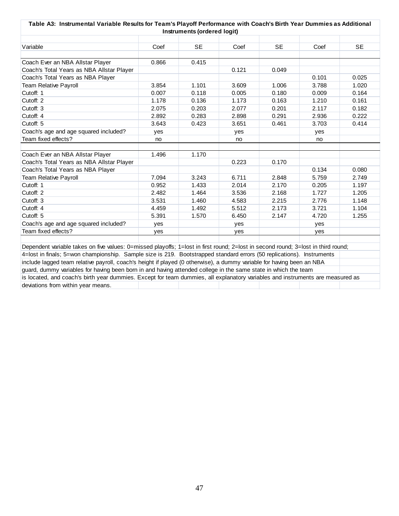| Table A3: Instrumental Variable Results for Team's Playoff Performance with Coach's Birth Year Dummies as Additional                                                                                                                             |       | Instruments (ordered logit) |       |           |       |           |
|--------------------------------------------------------------------------------------------------------------------------------------------------------------------------------------------------------------------------------------------------|-------|-----------------------------|-------|-----------|-------|-----------|
| Variable                                                                                                                                                                                                                                         | Coef  | <b>SE</b>                   | Coef  | <b>SE</b> | Coef  | <b>SE</b> |
| Coach Ever an NBA Allstar Player                                                                                                                                                                                                                 | 0.866 | 0.415                       |       |           |       |           |
| Coach's Total Years as NBA Allstar Player                                                                                                                                                                                                        |       |                             | 0.121 | 0.049     |       |           |
| Coach's Total Years as NBA Player                                                                                                                                                                                                                |       |                             |       |           | 0.101 | 0.025     |
| <b>Team Relative Payroll</b>                                                                                                                                                                                                                     | 3.854 | 1.101                       | 3.609 | 1.006     | 3.788 | 1.020     |
| Cutoff: 1                                                                                                                                                                                                                                        | 0.007 | 0.118                       | 0.005 | 0.180     | 0.009 | 0.164     |
| Cutoff: 2                                                                                                                                                                                                                                        | 1.178 | 0.136                       | 1.173 | 0.163     | 1.210 | 0.161     |
| Cutoff: 3                                                                                                                                                                                                                                        | 2.075 | 0.203                       | 2.077 | 0.201     | 2.117 | 0.182     |
| Cutoff: 4                                                                                                                                                                                                                                        | 2.892 | 0.283                       | 2.898 | 0.291     | 2.936 | 0.222     |
| Cutoff: 5                                                                                                                                                                                                                                        | 3.643 | 0.423                       | 3.651 | 0.461     | 3.703 | 0.414     |
| Coach's age and age squared included?                                                                                                                                                                                                            | yes   |                             | yes   |           | yes   |           |
| Team fixed effects?                                                                                                                                                                                                                              | no    |                             | no    |           | no    |           |
| Coach Ever an NBA Allstar Player                                                                                                                                                                                                                 | 1.496 | 1.170                       |       |           |       |           |
| Coach's Total Years as NBA Allstar Player                                                                                                                                                                                                        |       |                             | 0.223 | 0.170     |       |           |
| Coach's Total Years as NBA Player                                                                                                                                                                                                                |       |                             |       |           | 0.134 | 0.080     |
| <b>Team Relative Payroll</b>                                                                                                                                                                                                                     | 7.094 | 3.243                       | 6.711 | 2.848     | 5.759 | 2.749     |
| Cutoff: 1                                                                                                                                                                                                                                        | 0.952 | 1.433                       | 2.014 | 2.170     | 0.205 | 1.197     |
| Cutoff: 2                                                                                                                                                                                                                                        | 2.482 | 1.464                       | 3.536 | 2.168     | 1.727 | 1.205     |
| Cutoff: 3                                                                                                                                                                                                                                        | 3.531 | 1.460                       | 4.583 | 2.215     | 2.776 | 1.148     |
| Cutoff: 4                                                                                                                                                                                                                                        | 4.459 | 1.492                       | 5.512 | 2.173     | 3.721 | 1.104     |
| Cutoff: 5                                                                                                                                                                                                                                        | 5.391 | 1.570                       | 6.450 | 2.147     | 4.720 | 1.255     |
| Coach's age and age squared included?                                                                                                                                                                                                            | yes   |                             | yes   |           | yes   |           |
| Team fixed effects?                                                                                                                                                                                                                              | yes   |                             | yes   |           | yes   |           |
| Dependent variable takes on five values: 0=missed playoffs; 1=lost in first round; 2=lost in second round; 3=lost in third round;                                                                                                                |       |                             |       |           |       |           |
| 4=lost in finals; 5=won championship. Sample size is 219. Bootstrapped standard errors (50 replications). Instruments                                                                                                                            |       |                             |       |           |       |           |
| include lagged team relative payroll, coach's height if played (0 otherwise), a dummy variable for having been an NBA                                                                                                                            |       |                             |       |           |       |           |
|                                                                                                                                                                                                                                                  |       |                             |       |           |       |           |
| guard, dummy variables for having been born in and having attended college in the same state in which the team<br>is located, and coach's birth year dummies. Except for team dummies, all explanatory variables and instruments are measured as |       |                             |       |           |       |           |

deviations from within year means.